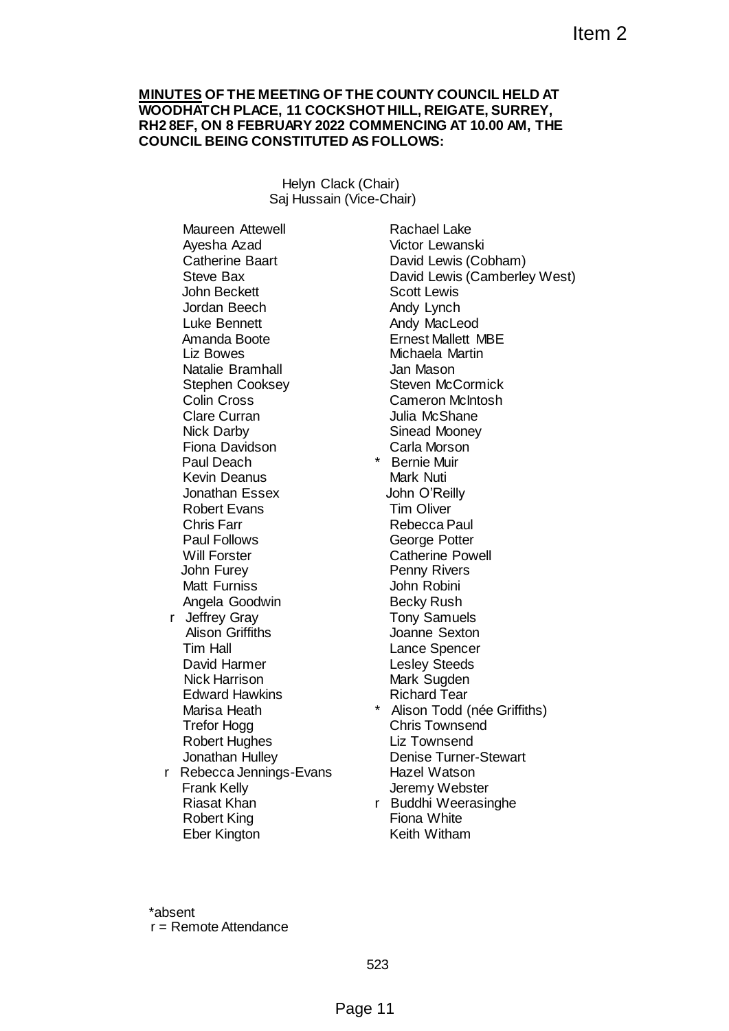#### **MINUTES OF THE MEETING OF THE COUNTY COUNCIL HELD AT WOODHATCH PLACE, 11 COCKSHOT HILL, REIGATE, SURREY, RH2 8EF, ON 8 FEBRUARY 2022 COMMENCING AT 10.00 AM, THE COUNCIL BEING CONSTITUTED AS FOLLOWS:**

Helyn Clack (Chair) Saj Hussain (Vice-Chair)

Maureen Attewell Ayesha Azad Catherine Baart Steve Bax John Beckett Jordan Beech Luke Bennett Amanda Boote Liz Bowes Natalie Bramhall Stephen Cooksey Colin Cross Clare Curran Nick Darby Fiona Davidson Paul Deach Kevin Deanus Jonathan Essex Robert Evans Chris Farr Paul Follows Will Forster John Furey Matt Furniss Angela Goodwin r Jeffrey Gray Alison Griffiths Tim Hall David Harmer Nick Harrison Edward Hawkins Marisa Heath Trefor Hogg Robert Hughes Jonathan Hulley r Rebecca Jennings-Evans Frank Kelly Riasat Khan Robert King

Rachael Lake Victor Lewanski David Lewis (Cobham) David Lewis (Camberley West) Scott Lewis Andy Lynch Andy MacLeod Ernest Mallett MBE Michaela Martin Jan Mason Steven McCormick Cameron McIntosh Julia McShane Sinead Mooney Carla Morson \* Bernie Muir Mark Nuti John O'Reilly Tim Oliver Rebecca Paul George Potter Catherine Powell Penny Rivers Item 2<br>
FTHE COUNTY COUNCIL HELD AT<br>
KSHOT HILL, REIGATE, SURREY,<br>
22 COMMENCING AT 10.00 AM, THE<br>
20 AS FOLLOWS:<br>
Rachael Lake<br>
Watch Lewanski<br>
David Lewis (Cohnam)<br>
David Lewis (Cohnam)<br>
David Lewis (Cohnam)<br>
Andy MacLed

- John Robini Becky Rush Tony Samuels Joanne Sexton Lance Spencer Lesley Steeds Mark Sugden Richard Tear
- Alison Todd (née Griffiths) Chris Townsend Liz Townsend Denise Turner-Stewart Hazel Watson Jeremy Webster
- r Buddhi Weerasinghe Fiona White Keith Witham

\*absent r = Remote Attendance

Eber Kington

523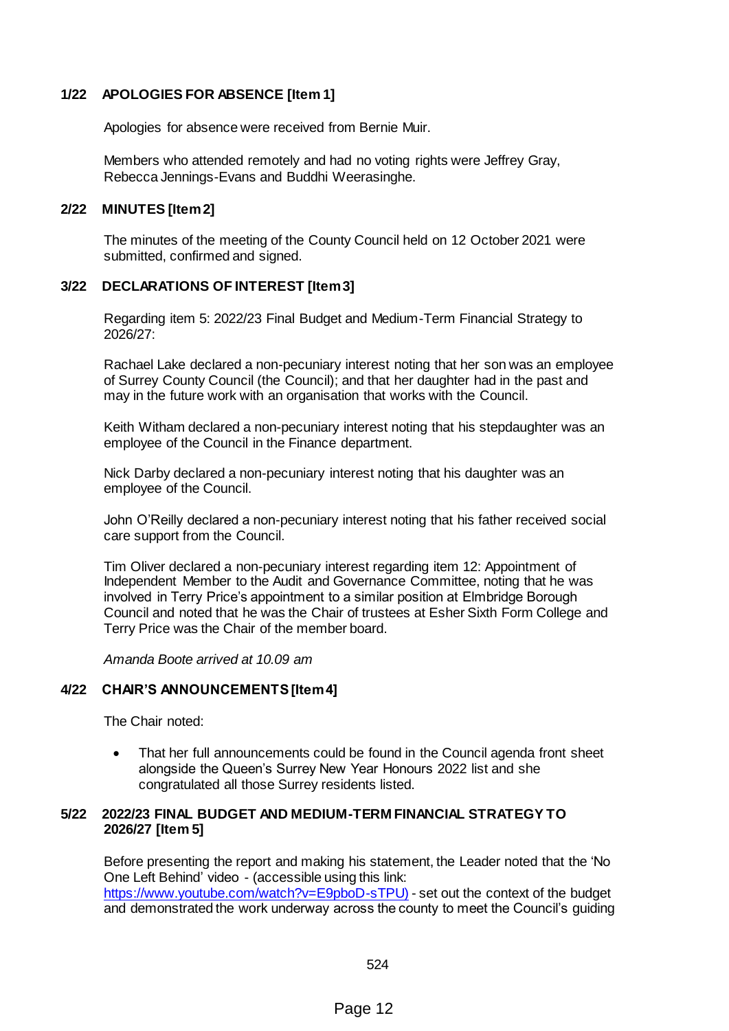## **1/22 APOLOGIES FOR ABSENCE [Item 1]**

Apologies for absence were received from Bernie Muir.

Members who attended remotely and had no voting rights were Jeffrey Gray, Rebecca Jennings-Evans and Buddhi Weerasinghe.

#### **2/22 MINUTES [Item 2]**

The minutes of the meeting of the County Council held on 12 October 2021 were submitted, confirmed and signed.

# **3/22 DECLARATIONS OF INTEREST [Item 3]**

Regarding item 5: 2022/23 Final Budget and Medium-Term Financial Strategy to 2026/27:

Rachael Lake declared a non-pecuniary interest noting that her son was an employee of Surrey County Council (the Council); and that her daughter had in the past and may in the future work with an organisation that works with the Council.

Keith Witham declared a non-pecuniary interest noting that his stepdaughter was an employee of the Council in the Finance department.

Nick Darby declared a non-pecuniary interest noting that his daughter was an employee of the Council.

John O'Reilly declared a non-pecuniary interest noting that his father received social care support from the Council.

Tim Oliver declared a non-pecuniary interest regarding item 12: Appointment of Independent Member to the Audit and Governance Committee, noting that he was involved in Terry Price's appointment to a similar position at Elmbridge Borough Council and noted that he was the Chair of trustees at Esher Sixth Form College and Terry Price was the Chair of the member board.

*Amanda Boote arrived at 10.09 am*

## **4/22 CHAIR'S ANNOUNCEMENTS [Item 4]**

The Chair noted:

 That her full announcements could be found in the Council agenda front sheet alongside the Queen's Surrey New Year Honours 2022 list and she congratulated all those Surrey residents listed.

## **5/22 2022/23 FINAL BUDGET AND MEDIUM-TERM FINANCIAL STRATEGY TO 2026/27 [Item 5]**

Before presenting the report and making his statement, the Leader noted that the 'No One Left Behind' video - (accessible using this link: [https://www.youtube.com/watch?v=E9pboD-sTPU\)](https://www.youtube.com/watch?v=E9pboD-sTPU) - set out the context of the budget and demonstrated the work underway across the county to meet the Council's guiding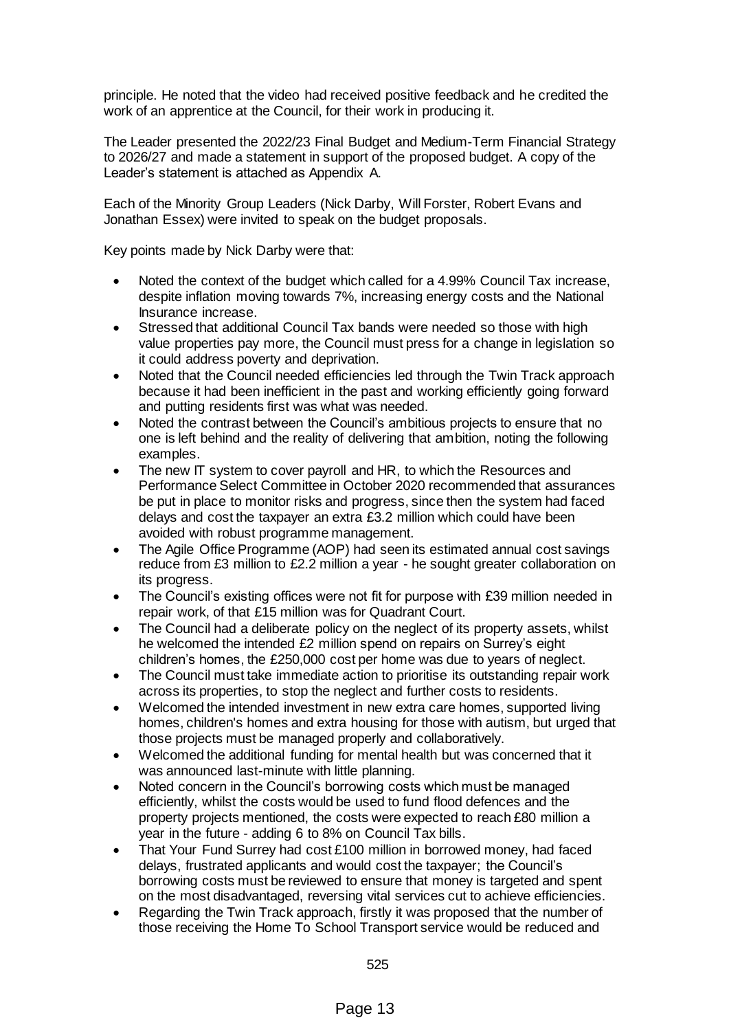principle. He noted that the video had received positive feedback and he credited the work of an apprentice at the Council, for their work in producing it.

The Leader presented the 2022/23 Final Budget and Medium-Term Financial Strategy to 2026/27 and made a statement in support of the proposed budget. A copy of the Leader's statement is attached as Appendix A.

Each of the Minority Group Leaders (Nick Darby, Will Forster, Robert Evans and Jonathan Essex) were invited to speak on the budget proposals.

Key points made by Nick Darby were that:

- Noted the context of the budget which called for a 4.99% Council Tax increase, despite inflation moving towards 7%, increasing energy costs and the National Insurance increase.
- Stressed that additional Council Tax bands were needed so those with high value properties pay more, the Council must press for a change in legislation so it could address poverty and deprivation.
- Noted that the Council needed efficiencies led through the Twin Track approach because it had been inefficient in the past and working efficiently going forward and putting residents first was what was needed.
- Noted the contrast between the Council's ambitious projects to ensure that no one is left behind and the reality of delivering that ambition, noting the following examples.
- The new IT system to cover payroll and HR, to which the Resources and Performance Select Committee in October 2020 recommended that assurances be put in place to monitor risks and progress, since then the system had faced delays and cost the taxpayer an extra £3.2 million which could have been avoided with robust programme management.
- The Agile Office Programme (AOP) had seen its estimated annual cost savings reduce from £3 million to £2.2 million a year - he sought greater collaboration on its progress.
- The Council's existing offices were not fit for purpose with £39 million needed in repair work, of that £15 million was for Quadrant Court.
- The Council had a deliberate policy on the neglect of its property assets, whilst he welcomed the intended £2 million spend on repairs on Surrey's eight children's homes, the £250,000 cost per home was due to years of neglect.
- The Council must take immediate action to prioritise its outstanding repair work across its properties, to stop the neglect and further costs to residents.
- Welcomed the intended investment in new extra care homes, supported living homes, children's homes and extra housing for those with autism, but urged that those projects must be managed properly and collaboratively.
- Welcomed the additional funding for mental health but was concerned that it was announced last-minute with little planning.
- Noted concern in the Council's borrowing costs which must be managed efficiently, whilst the costs would be used to fund flood defences and the property projects mentioned, the costs were expected to reach £80 million a year in the future - adding 6 to 8% on Council Tax bills.
- That Your Fund Surrey had cost £100 million in borrowed money, had faced delays, frustrated applicants and would cost the taxpayer; the Council's borrowing costs must be reviewed to ensure that money is targeted and spent on the most disadvantaged, reversing vital services cut to achieve efficiencies.
- Regarding the Twin Track approach, firstly it was proposed that the number of those receiving the Home To School Transport service would be reduced and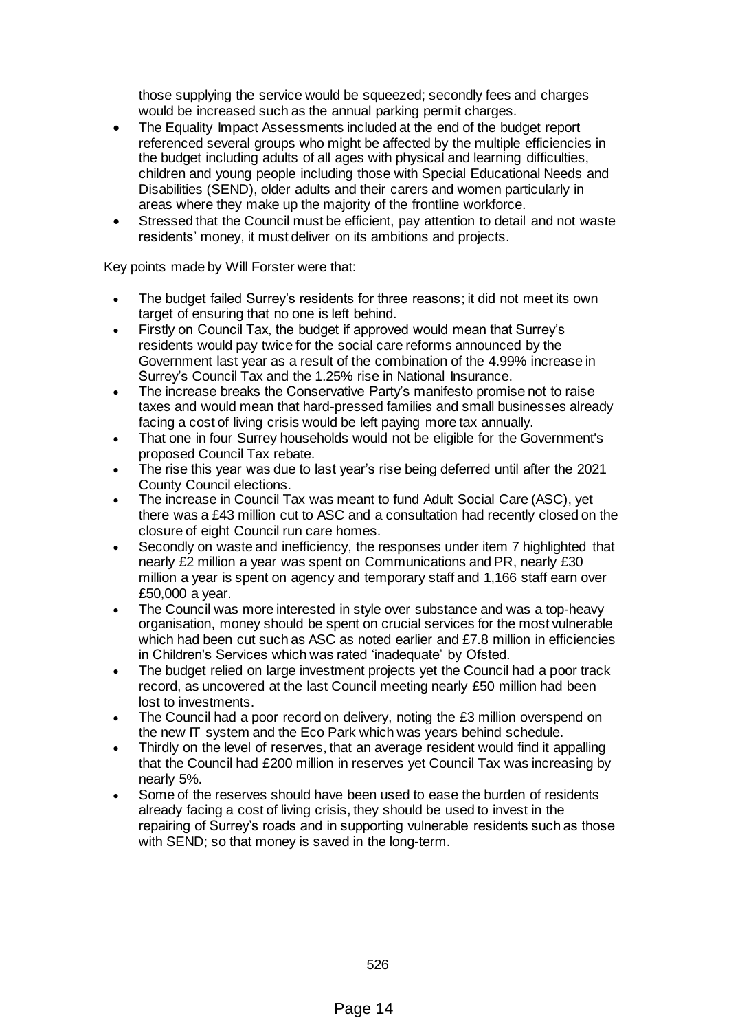those supplying the service would be squeezed; secondly fees and charges would be increased such as the annual parking permit charges.

- The Equality Impact Assessments included at the end of the budget report referenced several groups who might be affected by the multiple efficiencies in the budget including adults of all ages with physical and learning difficulties, children and young people including those with Special Educational Needs and Disabilities (SEND), older adults and their carers and women particularly in areas where they make up the majority of the frontline workforce.
- Stressed that the Council must be efficient, pay attention to detail and not waste residents' money, it must deliver on its ambitions and projects.

Key points made by Will Forster were that:

- The budget failed Surrey's residents for three reasons; it did not meet its own target of ensuring that no one is left behind.
- Firstly on Council Tax, the budget if approved would mean that Surrey's residents would pay twice for the social care reforms announced by the Government last year as a result of the combination of the 4.99% increase in Surrey's Council Tax and the 1.25% rise in National Insurance.
- The increase breaks the Conservative Party's manifesto promise not to raise taxes and would mean that hard-pressed families and small businesses already facing a cost of living crisis would be left paying more tax annually.
- That one in four Surrey households would not be eligible for the Government's proposed Council Tax rebate.
- The rise this year was due to last year's rise being deferred until after the 2021 County Council elections.
- The increase in Council Tax was meant to fund Adult Social Care (ASC), yet there was a £43 million cut to ASC and a consultation had recently closed on the closure of eight Council run care homes.
- Secondly on waste and inefficiency, the responses under item 7 highlighted that nearly £2 million a year was spent on Communications and PR, nearly £30 million a year is spent on agency and temporary staff and 1,166 staff earn over £50,000 a year.
- The Council was more interested in style over substance and was a top-heavy organisation, money should be spent on crucial services for the most vulnerable which had been cut such as ASC as noted earlier and £7.8 million in efficiencies in Children's Services which was rated 'inadequate' by Ofsted.
- The budget relied on large investment projects yet the Council had a poor track record, as uncovered at the last Council meeting nearly £50 million had been lost to investments.
- The Council had a poor record on delivery, noting the £3 million overspend on the new IT system and the Eco Park which was years behind schedule.
- Thirdly on the level of reserves, that an average resident would find it appalling that the Council had £200 million in reserves yet Council Tax was increasing by nearly 5%.
- Some of the reserves should have been used to ease the burden of residents already facing a cost of living crisis, they should be used to invest in the repairing of Surrey's roads and in supporting vulnerable residents such as those with SEND; so that money is saved in the long-term.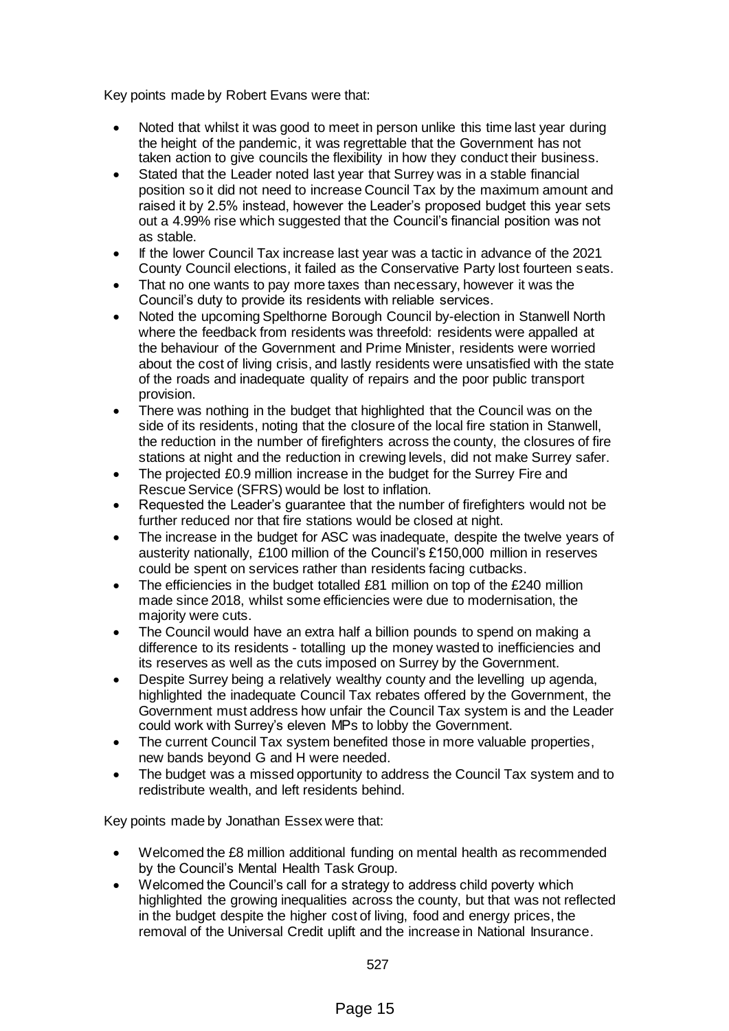Key points made by Robert Evans were that:

- Noted that whilst it was good to meet in person unlike this time last year during the height of the pandemic, it was regrettable that the Government has not taken action to give councils the flexibility in how they conduct their business.
- Stated that the Leader noted last year that Surrey was in a stable financial position so it did not need to increase Council Tax by the maximum amount and raised it by 2.5% instead, however the Leader's proposed budget this year sets out a 4.99% rise which suggested that the Council's financial position was not as stable.
- If the lower Council Tax increase last year was a tactic in advance of the 2021 County Council elections, it failed as the Conservative Party lost fourteen seats.
- That no one wants to pay more taxes than necessary, however it was the Council's duty to provide its residents with reliable services.
- Noted the upcoming Spelthorne Borough Council by-election in Stanwell North where the feedback from residents was threefold: residents were appalled at the behaviour of the Government and Prime Minister, residents were worried about the cost of living crisis, and lastly residents were unsatisfied with the state of the roads and inadequate quality of repairs and the poor public transport provision.
- There was nothing in the budget that highlighted that the Council was on the side of its residents, noting that the closure of the local fire station in Stanwell, the reduction in the number of firefighters across the county, the closures of fire stations at night and the reduction in crewing levels, did not make Surrey safer.
- The projected £0.9 million increase in the budget for the Surrey Fire and Rescue Service (SFRS) would be lost to inflation.
- Requested the Leader's guarantee that the number of firefighters would not be further reduced nor that fire stations would be closed at night.
- The increase in the budget for ASC was inadequate, despite the twelve years of austerity nationally, £100 million of the Council's £150,000 million in reserves could be spent on services rather than residents facing cutbacks.
- The efficiencies in the budget totalled £81 million on top of the £240 million made since 2018, whilst some efficiencies were due to modernisation, the majority were cuts.
- The Council would have an extra half a billion pounds to spend on making a difference to its residents - totalling up the money wasted to inefficiencies and its reserves as well as the cuts imposed on Surrey by the Government.
- Despite Surrey being a relatively wealthy county and the levelling up agenda, highlighted the inadequate Council Tax rebates offered by the Government, the Government must address how unfair the Council Tax system is and the Leader could work with Surrey's eleven MPs to lobby the Government.
- The current Council Tax system benefited those in more valuable properties, new bands beyond G and H were needed.
- The budget was a missed opportunity to address the Council Tax system and to redistribute wealth, and left residents behind.

Key points made by Jonathan Essex were that:

- Welcomed the £8 million additional funding on mental health as recommended by the Council's Mental Health Task Group.
- Welcomed the Council's call for a strategy to address child poverty which highlighted the growing inequalities across the county, but that was not reflected in the budget despite the higher cost of living, food and energy prices, the removal of the Universal Credit uplift and the increase in National Insurance.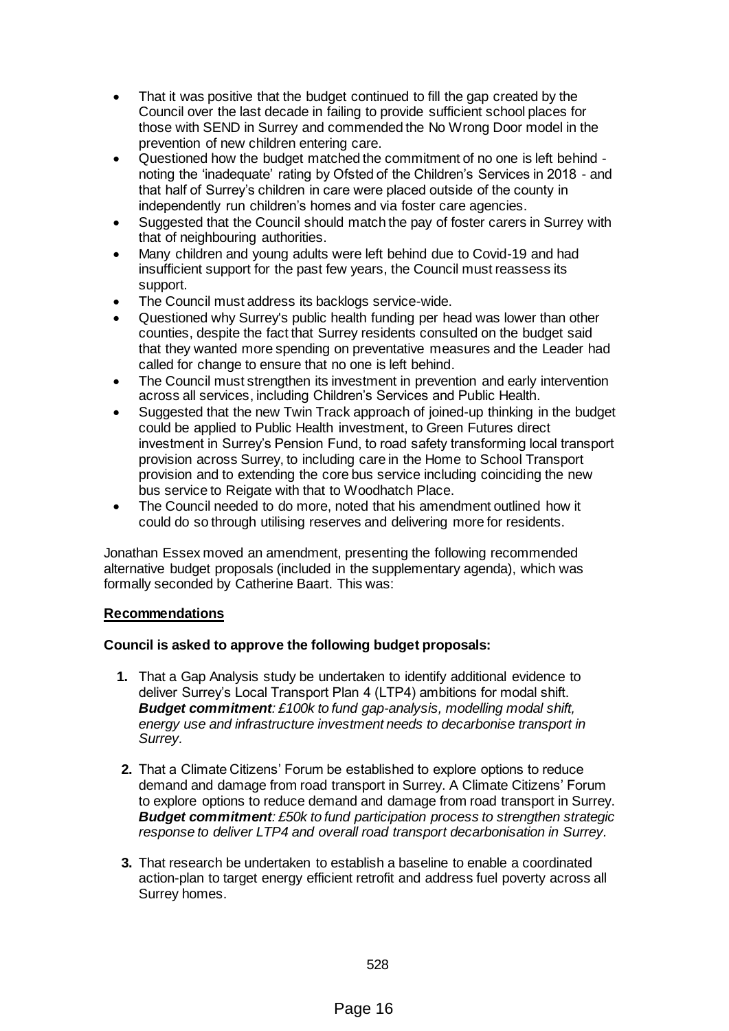- That it was positive that the budget continued to fill the gap created by the Council over the last decade in failing to provide sufficient school places for those with SEND in Surrey and commended the No Wrong Door model in the prevention of new children entering care.
- Questioned how the budget matched the commitment of no one is left behind noting the 'inadequate' rating by Ofsted of the Children's Services in 2018 - and that half of Surrey's children in care were placed outside of the county in independently run children's homes and via foster care agencies.
- Suggested that the Council should match the pay of foster carers in Surrey with that of neighbouring authorities.
- Many children and young adults were left behind due to Covid-19 and had insufficient support for the past few years, the Council must reassess its support.
- The Council must address its backlogs service-wide.
- Questioned why Surrey's public health funding per head was lower than other counties, despite the fact that Surrey residents consulted on the budget said that they wanted more spending on preventative measures and the Leader had called for change to ensure that no one is left behind.
- The Council must strengthen its investment in prevention and early intervention across all services, including Children's Services and Public Health.
- Suggested that the new Twin Track approach of joined-up thinking in the budget could be applied to Public Health investment, to Green Futures direct investment in Surrey's Pension Fund, to road safety transforming local transport provision across Surrey, to including care in the Home to School Transport provision and to extending the core bus service including coinciding the new bus service to Reigate with that to Woodhatch Place.
- The Council needed to do more, noted that his amendment outlined how it could do so through utilising reserves and delivering more for residents.

Jonathan Essex moved an amendment, presenting the following recommended alternative budget proposals (included in the supplementary agenda), which was formally seconded by Catherine Baart. This was:

## **Recommendations**

## **Council is asked to approve the following budget proposals:**

- **1.** That a Gap Analysis study be undertaken to identify additional evidence to deliver Surrey's Local Transport Plan 4 (LTP4) ambitions for modal shift. *Budget commitment: £100k to fund gap-analysis, modelling modal shift, energy use and infrastructure investment needs to decarbonise transport in Surrey.*
- **2.** That a Climate Citizens' Forum be established to explore options to reduce demand and damage from road transport in Surrey. A Climate Citizens' Forum to explore options to reduce demand and damage from road transport in Surrey. *Budget commitment: £50k to fund participation process to strengthen strategic response to deliver LTP4 and overall road transport decarbonisation in Surrey.*
- **3.** That research be undertaken to establish a baseline to enable a coordinated action-plan to target energy efficient retrofit and address fuel poverty across all Surrey homes.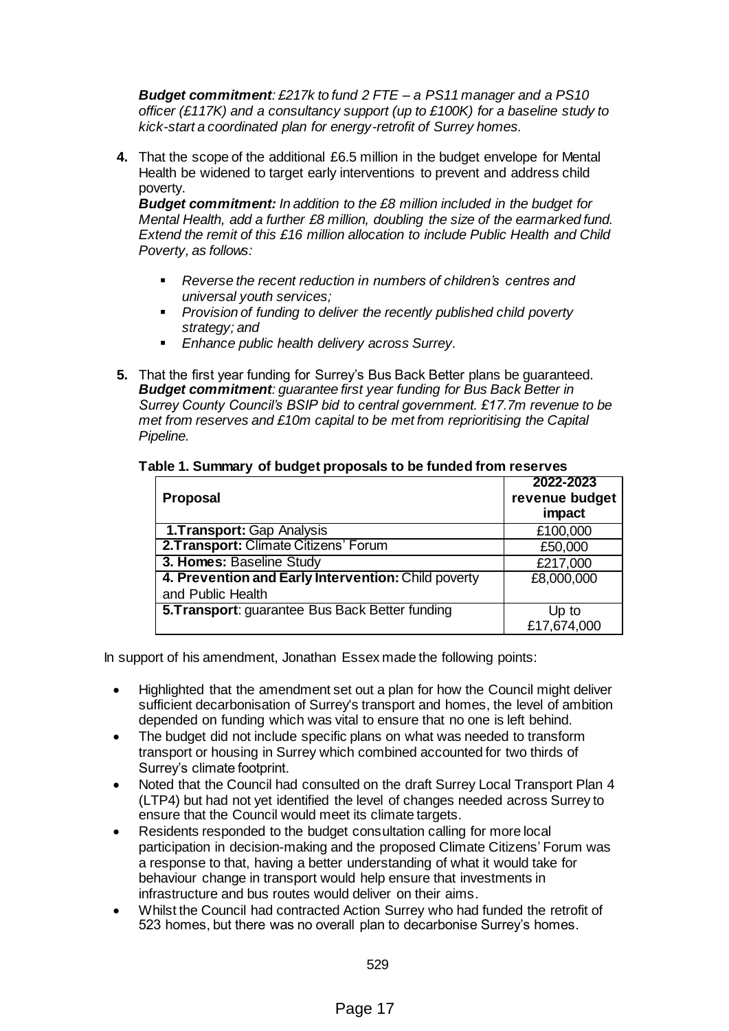*Budget commitment: £217k to fund 2 FTE – a PS11 manager and a PS10 officer (£117K) and a consultancy support (up to £100K) for a baseline study to kick-start a coordinated plan for energy-retrofit of Surrey homes.* 

**4.** That the scope of the additional £6.5 million in the budget envelope for Mental Health be widened to target early interventions to prevent and address child poverty.

*Budget commitment: In addition to the £8 million included in the budget for Mental Health, add a further £8 million, doubling the size of the earmarked fund. Extend the remit of this £16 million allocation to include Public Health and Child Poverty, as follows:*

- *Reverse the recent reduction in numbers of children's centres and universal youth services;*
- *Provision of funding to deliver the recently published child poverty strategy; and*
- *Enhance public health delivery across Surrey.*
- **5.** That the first year funding for Surrey's Bus Back Better plans be guaranteed. *Budget commitment: guarantee first year funding for Bus Back Better in Surrey County Council's BSIP bid to central government. £17.7m revenue to be met from reserves and £10m capital to be met from reprioritising the Capital Pipeline.*

| <b>Proposal</b>                                     | 2022-2023<br>revenue budget<br>impact |
|-----------------------------------------------------|---------------------------------------|
| <b>1. Transport: Gap Analysis</b>                   | £100,000                              |
| 2. Transport: Climate Citizens' Forum               | £50,000                               |
| 3. Homes: Baseline Study                            | £217,000                              |
| 4. Prevention and Early Intervention: Child poverty | £8,000,000                            |
| and Public Health                                   |                                       |
| 5. Transport: guarantee Bus Back Better funding     | Up to<br>£17,674,000                  |

## **Table 1. Summary of budget proposals to be funded from reserves**

In support of his amendment, Jonathan Essex made the following points:

- Highlighted that the amendment set out a plan for how the Council might deliver sufficient decarbonisation of Surrey's transport and homes, the level of ambition depended on funding which was vital to ensure that no one is left behind.
- The budget did not include specific plans on what was needed to transform transport or housing in Surrey which combined accounted for two thirds of Surrey's climate footprint.
- Noted that the Council had consulted on the draft Surrey Local Transport Plan 4 (LTP4) but had not yet identified the level of changes needed across Surrey to ensure that the Council would meet its climate targets.
- Residents responded to the budget consultation calling for more local participation in decision-making and the proposed Climate Citizens' Forum was a response to that, having a better understanding of what it would take for behaviour change in transport would help ensure that investments in infrastructure and bus routes would deliver on their aims.
- Whilst the Council had contracted Action Surrey who had funded the retrofit of 523 homes, but there was no overall plan to decarbonise Surrey's homes.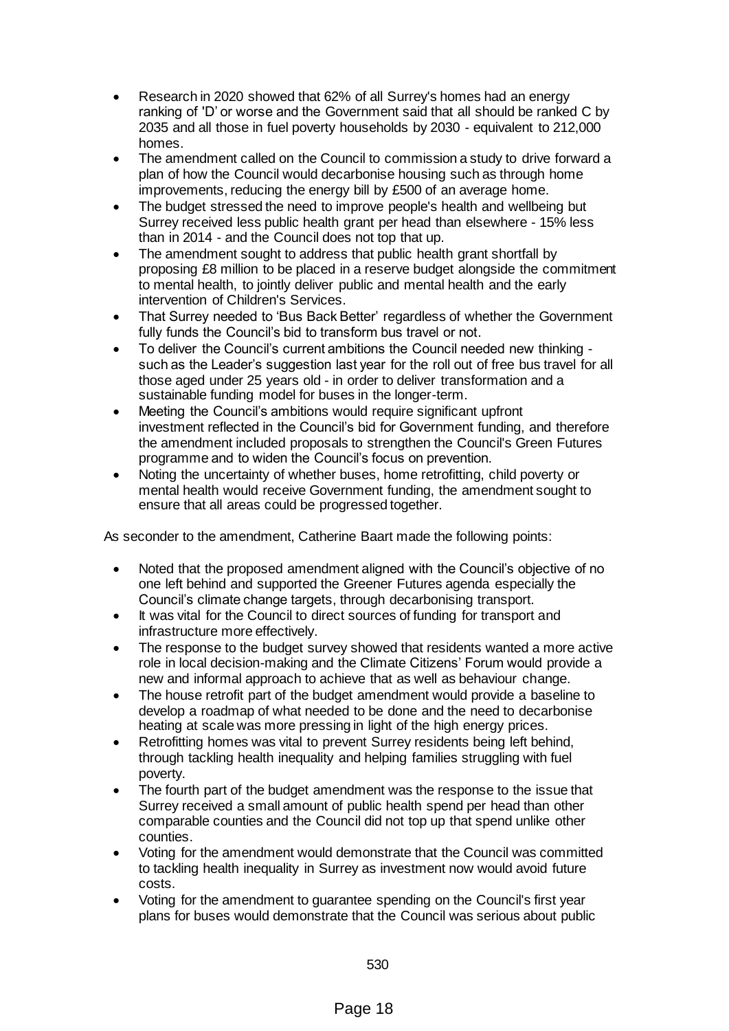- Research in 2020 showed that 62% of all Surrey's homes had an energy ranking of 'D' or worse and the Government said that all should be ranked C by 2035 and all those in fuel poverty households by 2030 - equivalent to 212,000 homes.
- The amendment called on the Council to commission a study to drive forward a plan of how the Council would decarbonise housing such as through home improvements, reducing the energy bill by £500 of an average home.
- The budget stressed the need to improve people's health and wellbeing but Surrey received less public health grant per head than elsewhere - 15% less than in 2014 - and the Council does not top that up.
- The amendment sought to address that public health grant shortfall by proposing £8 million to be placed in a reserve budget alongside the commitment to mental health, to jointly deliver public and mental health and the early intervention of Children's Services.
- That Surrey needed to 'Bus Back Better' regardless of whether the Government fully funds the Council's bid to transform bus travel or not.
- To deliver the Council's current ambitions the Council needed new thinking such as the Leader's suggestion last year for the roll out of free bus travel for all those aged under 25 years old - in order to deliver transformation and a sustainable funding model for buses in the longer-term.
- Meeting the Council's ambitions would require significant upfront investment reflected in the Council's bid for Government funding, and therefore the amendment included proposals to strengthen the Council's Green Futures programme and to widen the Council's focus on prevention.
- Noting the uncertainty of whether buses, home retrofitting, child poverty or mental health would receive Government funding, the amendment sought to ensure that all areas could be progressed together.

As seconder to the amendment, Catherine Baart made the following points:

- Noted that the proposed amendment aligned with the Council's objective of no one left behind and supported the Greener Futures agenda especially the Council's climate change targets, through decarbonising transport.
- It was vital for the Council to direct sources of funding for transport and infrastructure more effectively.
- The response to the budget survey showed that residents wanted a more active role in local decision-making and the Climate Citizens' Forum would provide a new and informal approach to achieve that as well as behaviour change.
- The house retrofit part of the budget amendment would provide a baseline to develop a roadmap of what needed to be done and the need to decarbonise heating at scale was more pressing in light of the high energy prices.
- Retrofitting homes was vital to prevent Surrey residents being left behind, through tackling health inequality and helping families struggling with fuel poverty.
- The fourth part of the budget amendment was the response to the issue that Surrey received a small amount of public health spend per head than other comparable counties and the Council did not top up that spend unlike other counties.
- Voting for the amendment would demonstrate that the Council was committed to tackling health inequality in Surrey as investment now would avoid future costs.
- Voting for the amendment to guarantee spending on the Council's first year plans for buses would demonstrate that the Council was serious about public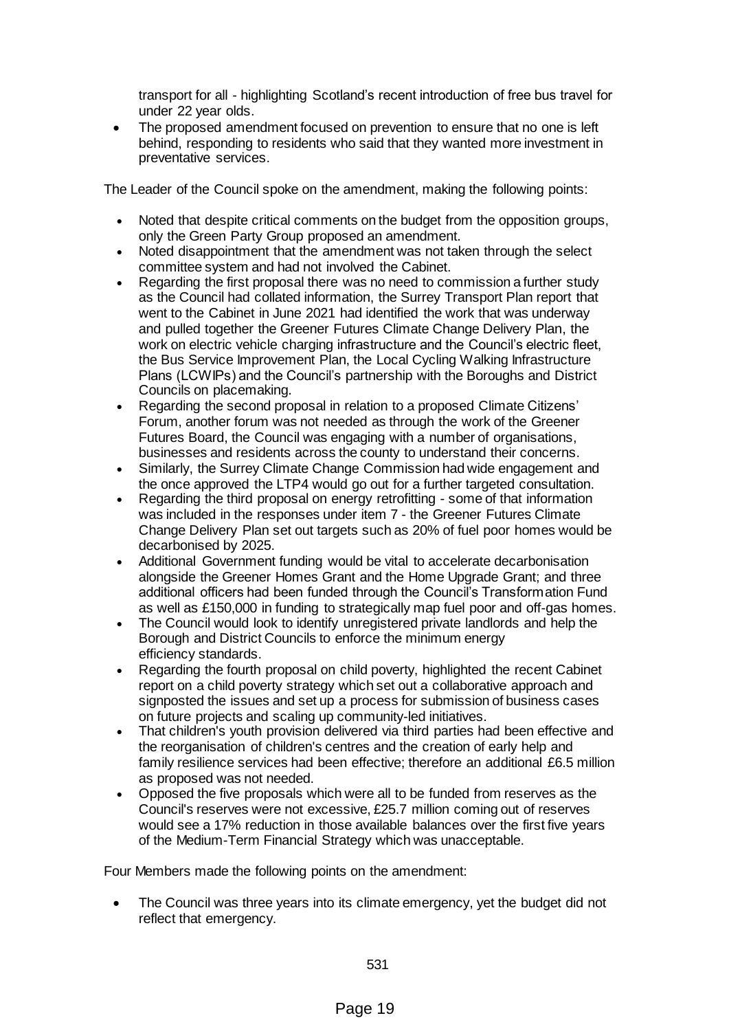transport for all - highlighting Scotland's recent introduction of free bus travel for under 22 year olds.

 The proposed amendment focused on prevention to ensure that no one is left behind, responding to residents who said that they wanted more investment in preventative services.

The Leader of the Council spoke on the amendment, making the following points:

- Noted that despite critical comments on the budget from the opposition groups, only the Green Party Group proposed an amendment.
- Noted disappointment that the amendment was not taken through the select committee system and had not involved the Cabinet.
- Regarding the first proposal there was no need to commission a further study as the Council had collated information, the Surrey Transport Plan report that went to the Cabinet in June 2021 had identified the work that was underway and pulled together the Greener Futures Climate Change Delivery Plan, the work on electric vehicle charging infrastructure and the Council's electric fleet, the Bus Service Improvement Plan, the Local Cycling Walking Infrastructure Plans (LCWIPs) and the Council's partnership with the Boroughs and District Councils on placemaking.
- Regarding the second proposal in relation to a proposed Climate Citizens' Forum, another forum was not needed as through the work of the Greener Futures Board, the Council was engaging with a number of organisations, businesses and residents across the county to understand their concerns.
- Similarly, the Surrey Climate Change Commission had wide engagement and the once approved the LTP4 would go out for a further targeted consultation.
- Regarding the third proposal on energy retrofitting some of that information was included in the responses under item 7 - the Greener Futures Climate Change Delivery Plan set out targets such as 20% of fuel poor homes would be decarbonised by 2025.
- Additional Government funding would be vital to accelerate decarbonisation alongside the Greener Homes Grant and the Home Upgrade Grant; and three additional officers had been funded through the Council's Transformation Fund as well as £150,000 in funding to strategically map fuel poor and off-gas homes.
- The Council would look to identify unregistered private landlords and help the Borough and District Councils to enforce the minimum energy efficiency standards.
- Regarding the fourth proposal on child poverty, highlighted the recent Cabinet report on a child poverty strategy which set out a collaborative approach and signposted the issues and set up a process for submission of business cases on future projects and scaling up community-led initiatives.
- That children's youth provision delivered via third parties had been effective and the reorganisation of children's centres and the creation of early help and family resilience services had been effective; therefore an additional £6.5 million as proposed was not needed.
- Opposed the five proposals which were all to be funded from reserves as the Council's reserves were not excessive, £25.7 million coming out of reserves would see a 17% reduction in those available balances over the first five years of the Medium-Term Financial Strategy which was unacceptable.

Four Members made the following points on the amendment:

 The Council was three years into its climate emergency, yet the budget did not reflect that emergency.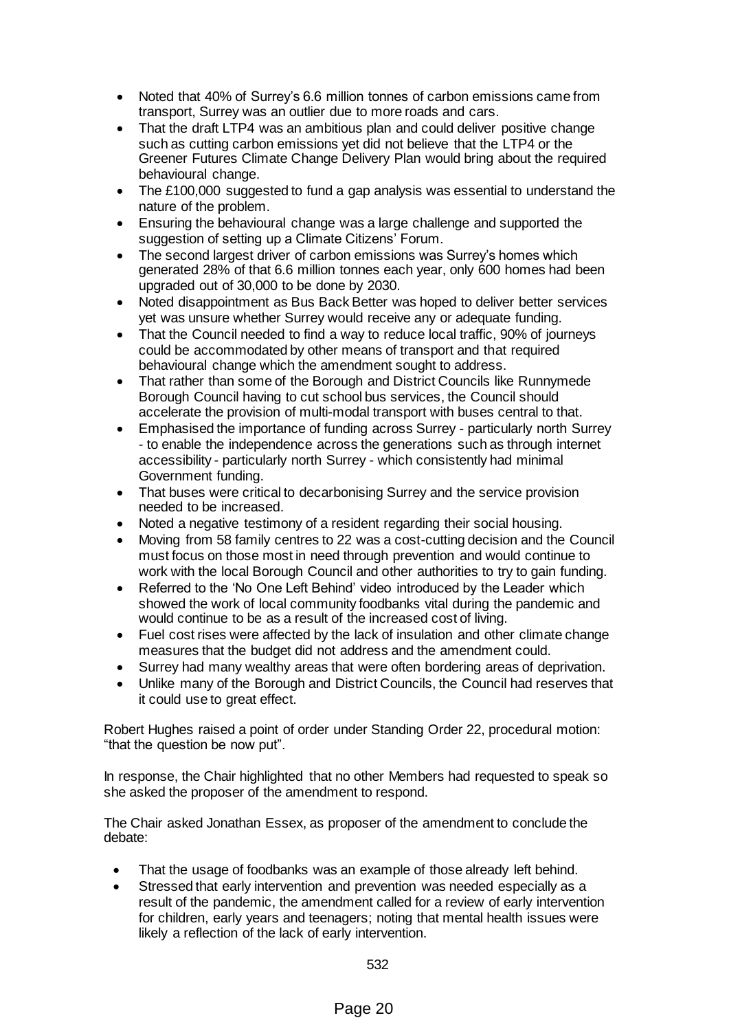- Noted that 40% of Surrey's 6.6 million tonnes of carbon emissions came from transport, Surrey was an outlier due to more roads and cars.
- That the draft LTP4 was an ambitious plan and could deliver positive change such as cutting carbon emissions yet did not believe that the LTP4 or the Greener Futures Climate Change Delivery Plan would bring about the required behavioural change.
- The £100,000 suggested to fund a gap analysis was essential to understand the nature of the problem.
- Ensuring the behavioural change was a large challenge and supported the suggestion of setting up a Climate Citizens' Forum.
- The second largest driver of carbon emissions was Surrey's homes which generated 28% of that 6.6 million tonnes each year, only 600 homes had been upgraded out of 30,000 to be done by 2030.
- Noted disappointment as Bus Back Better was hoped to deliver better services yet was unsure whether Surrey would receive any or adequate funding.
- That the Council needed to find a way to reduce local traffic, 90% of journeys could be accommodated by other means of transport and that required behavioural change which the amendment sought to address.
- That rather than some of the Borough and District Councils like Runnymede Borough Council having to cut school bus services, the Council should accelerate the provision of multi-modal transport with buses central to that.
- Emphasised the importance of funding across Surrey particularly north Surrey - to enable the independence across the generations such as through internet accessibility - particularly north Surrey - which consistently had minimal Government funding.
- That buses were critical to decarbonising Surrey and the service provision needed to be increased.
- Noted a negative testimony of a resident regarding their social housing.
- Moving from 58 family centres to 22 was a cost-cutting decision and the Council must focus on those most in need through prevention and would continue to work with the local Borough Council and other authorities to try to gain funding.
- Referred to the 'No One Left Behind' video introduced by the Leader which showed the work of local community foodbanks vital during the pandemic and would continue to be as a result of the increased cost of living.
- Fuel cost rises were affected by the lack of insulation and other climate change measures that the budget did not address and the amendment could.
- Surrey had many wealthy areas that were often bordering areas of deprivation.
- Unlike many of the Borough and District Councils, the Council had reserves that it could use to great effect.

Robert Hughes raised a point of order under Standing Order 22, procedural motion: "that the question be now put".

In response, the Chair highlighted that no other Members had requested to speak so she asked the proposer of the amendment to respond.

The Chair asked Jonathan Essex, as proposer of the amendment to conclude the debate:

- That the usage of foodbanks was an example of those already left behind.
- Stressed that early intervention and prevention was needed especially as a result of the pandemic, the amendment called for a review of early intervention for children, early years and teenagers; noting that mental health issues were likely a reflection of the lack of early intervention.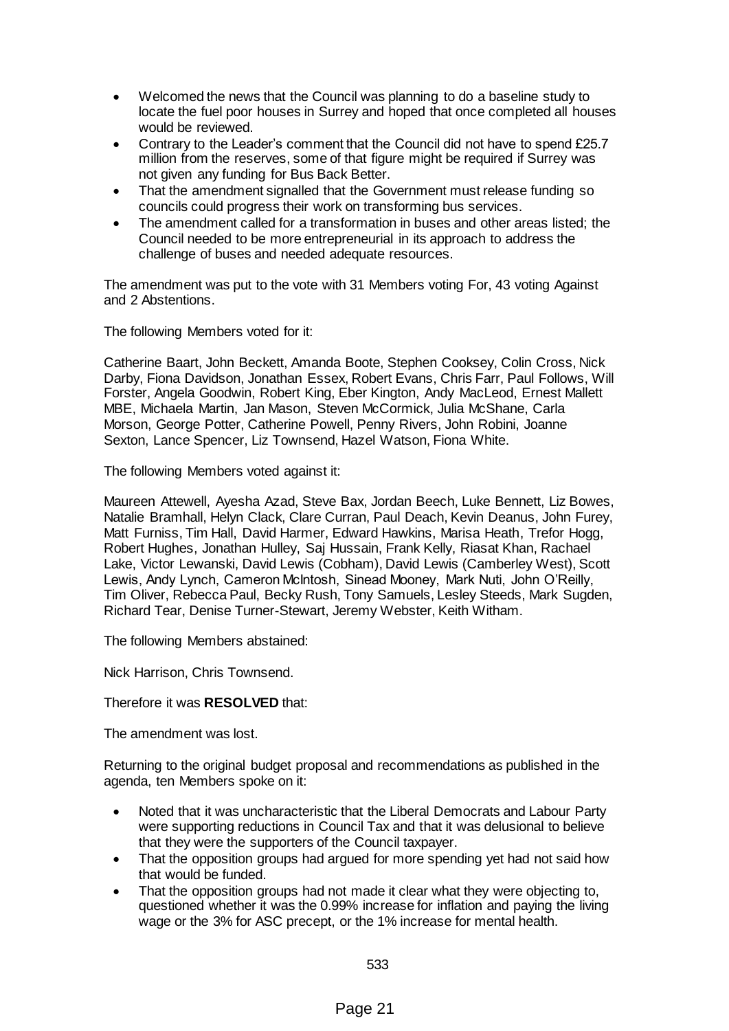- Welcomed the news that the Council was planning to do a baseline study to locate the fuel poor houses in Surrey and hoped that once completed all houses would be reviewed.
- Contrary to the Leader's comment that the Council did not have to spend £25.7 million from the reserves, some of that figure might be required if Surrey was not given any funding for Bus Back Better.
- That the amendment signalled that the Government must release funding so councils could progress their work on transforming bus services.
- The amendment called for a transformation in buses and other areas listed; the Council needed to be more entrepreneurial in its approach to address the challenge of buses and needed adequate resources.

The amendment was put to the vote with 31 Members voting For, 43 voting Against and 2 Abstentions.

The following Members voted for it:

Catherine Baart, John Beckett, Amanda Boote, Stephen Cooksey, Colin Cross, Nick Darby, Fiona Davidson, Jonathan Essex, Robert Evans, Chris Farr, Paul Follows, Will Forster, Angela Goodwin, Robert King, Eber Kington, Andy MacLeod, Ernest Mallett MBE, Michaela Martin, Jan Mason, Steven McCormick, Julia McShane, Carla Morson, George Potter, Catherine Powell, Penny Rivers, John Robini, Joanne Sexton, Lance Spencer, Liz Townsend, Hazel Watson, Fiona White.

The following Members voted against it:

Maureen Attewell, Ayesha Azad, Steve Bax, Jordan Beech, Luke Bennett, Liz Bowes, Natalie Bramhall, Helyn Clack, Clare Curran, Paul Deach, Kevin Deanus, John Furey, Matt Furniss, Tim Hall, David Harmer, Edward Hawkins, Marisa Heath, Trefor Hogg, Robert Hughes, Jonathan Hulley, Saj Hussain, Frank Kelly, Riasat Khan, Rachael Lake, Victor Lewanski, David Lewis (Cobham), David Lewis (Camberley West), Scott Lewis, Andy Lynch, Cameron McIntosh, Sinead Mooney, Mark Nuti, John O'Reilly, Tim Oliver, Rebecca Paul, Becky Rush, Tony Samuels, Lesley Steeds, Mark Sugden, Richard Tear, Denise Turner-Stewart, Jeremy Webster, Keith Witham.

The following Members abstained:

Nick Harrison, Chris Townsend.

Therefore it was **RESOLVED** that:

The amendment was lost.

Returning to the original budget proposal and recommendations as published in the agenda, ten Members spoke on it:

- Noted that it was uncharacteristic that the Liberal Democrats and Labour Party were supporting reductions in Council Tax and that it was delusional to believe that they were the supporters of the Council taxpayer.
- That the opposition groups had argued for more spending yet had not said how that would be funded.
- That the opposition groups had not made it clear what they were objecting to, questioned whether it was the 0.99% increase for inflation and paying the living wage or the 3% for ASC precept, or the 1% increase for mental health.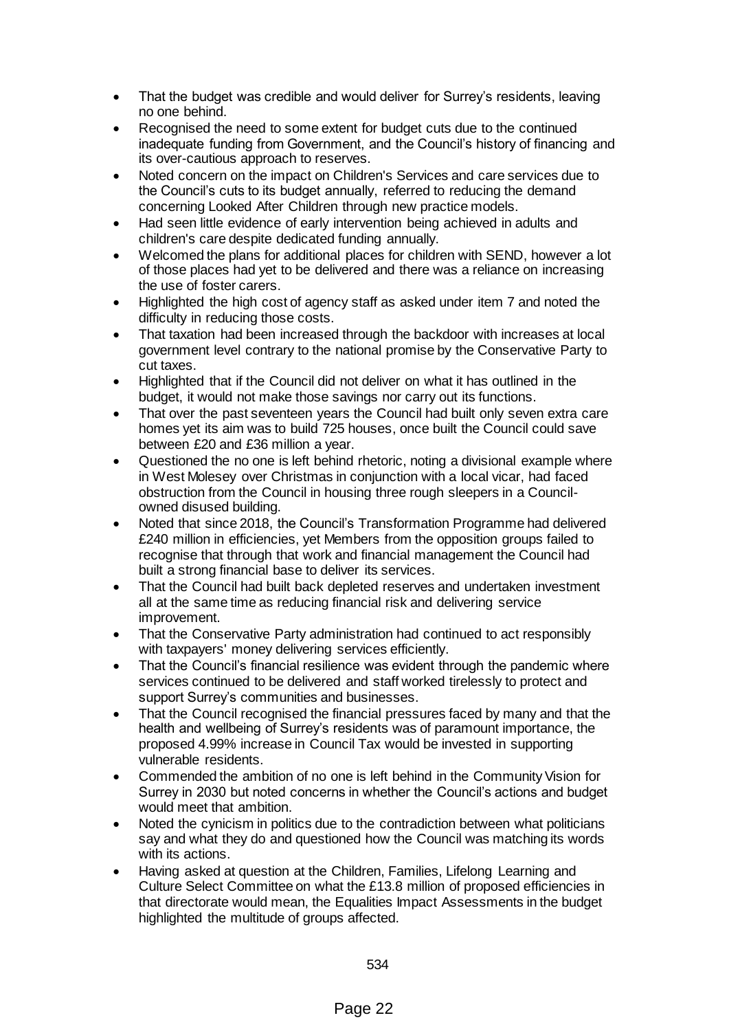- That the budget was credible and would deliver for Surrey's residents, leaving no one behind.
- Recognised the need to some extent for budget cuts due to the continued inadequate funding from Government, and the Council's history of financing and its over-cautious approach to reserves.
- Noted concern on the impact on Children's Services and care services due to the Council's cuts to its budget annually, referred to reducing the demand concerning Looked After Children through new practice models.
- Had seen little evidence of early intervention being achieved in adults and children's care despite dedicated funding annually.
- Welcomed the plans for additional places for children with SEND, however a lot of those places had yet to be delivered and there was a reliance on increasing the use of foster carers.
- Highlighted the high cost of agency staff as asked under item 7 and noted the difficulty in reducing those costs.
- That taxation had been increased through the backdoor with increases at local government level contrary to the national promise by the Conservative Party to cut taxes.
- Highlighted that if the Council did not deliver on what it has outlined in the budget, it would not make those savings nor carry out its functions.
- That over the past seventeen years the Council had built only seven extra care homes yet its aim was to build 725 houses, once built the Council could save between £20 and £36 million a year.
- Questioned the no one is left behind rhetoric, noting a divisional example where in West Molesey over Christmas in conjunction with a local vicar, had faced obstruction from the Council in housing three rough sleepers in a Councilowned disused building.
- Noted that since 2018, the Council's Transformation Programme had delivered £240 million in efficiencies, yet Members from the opposition groups failed to recognise that through that work and financial management the Council had built a strong financial base to deliver its services.
- That the Council had built back depleted reserves and undertaken investment all at the same time as reducing financial risk and delivering service improvement.
- That the Conservative Party administration had continued to act responsibly with taxpayers' money delivering services efficiently.
- That the Council's financial resilience was evident through the pandemic where services continued to be delivered and staff worked tirelessly to protect and support Surrey's communities and businesses.
- That the Council recognised the financial pressures faced by many and that the health and wellbeing of Surrey's residents was of paramount importance, the proposed 4.99% increase in Council Tax would be invested in supporting vulnerable residents.
- Commended the ambition of no one is left behind in the Community Vision for Surrey in 2030 but noted concerns in whether the Council's actions and budget would meet that ambition.
- Noted the cynicism in politics due to the contradiction between what politicians say and what they do and questioned how the Council was matching its words with its actions.
- Having asked at question at the Children, Families, Lifelong Learning and Culture Select Committee on what the £13.8 million of proposed efficiencies in that directorate would mean, the Equalities Impact Assessments in the budget highlighted the multitude of groups affected.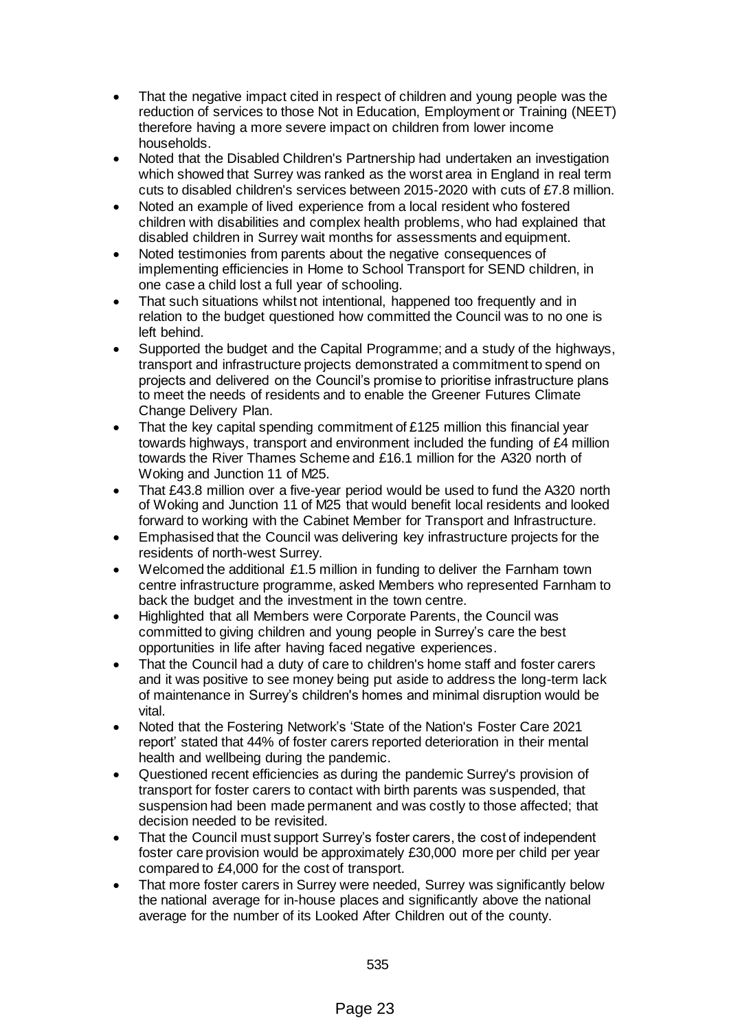- That the negative impact cited in respect of children and young people was the reduction of services to those Not in Education, Employment or Training (NEET) therefore having a more severe impact on children from lower income households.
- Noted that the Disabled Children's Partnership had undertaken an investigation which showed that Surrey was ranked as the worst area in England in real term cuts to disabled children's services between 2015-2020 with cuts of £7.8 million.
- Noted an example of lived experience from a local resident who fostered children with disabilities and complex health problems, who had explained that disabled children in Surrey wait months for assessments and equipment.
- Noted testimonies from parents about the negative consequences of implementing efficiencies in Home to School Transport for SEND children, in one case a child lost a full year of schooling.
- That such situations whilst not intentional, happened too frequently and in relation to the budget questioned how committed the Council was to no one is left behind.
- Supported the budget and the Capital Programme; and a study of the highways, transport and infrastructure projects demonstrated a commitment to spend on projects and delivered on the Council's promise to prioritise infrastructure plans to meet the needs of residents and to enable the Greener Futures Climate Change Delivery Plan.
- That the key capital spending commitment of £125 million this financial year towards highways, transport and environment included the funding of £4 million towards the River Thames Scheme and £16.1 million for the A320 north of Woking and Junction 11 of M25.
- That £43.8 million over a five-year period would be used to fund the A320 north of Woking and Junction 11 of M25 that would benefit local residents and looked forward to working with the Cabinet Member for Transport and Infrastructure.
- Emphasised that the Council was delivering key infrastructure projects for the residents of north-west Surrey.
- Welcomed the additional £1.5 million in funding to deliver the Farnham town centre infrastructure programme, asked Members who represented Farnham to back the budget and the investment in the town centre.
- Highlighted that all Members were Corporate Parents, the Council was committed to giving children and young people in Surrey's care the best opportunities in life after having faced negative experiences.
- That the Council had a duty of care to children's home staff and foster carers and it was positive to see money being put aside to address the long-term lack of maintenance in Surrey's children's homes and minimal disruption would be vital.
- Noted that the Fostering Network's 'State of the Nation's Foster Care 2021 report' stated that 44% of foster carers reported deterioration in their mental health and wellbeing during the pandemic.
- Questioned recent efficiencies as during the pandemic Surrey's provision of transport for foster carers to contact with birth parents was suspended, that suspension had been made permanent and was costly to those affected; that decision needed to be revisited.
- That the Council must support Surrey's foster carers, the cost of independent foster care provision would be approximately £30,000 more per child per year compared to £4,000 for the cost of transport.
- That more foster carers in Surrey were needed, Surrey was significantly below the national average for in-house places and significantly above the national average for the number of its Looked After Children out of the county.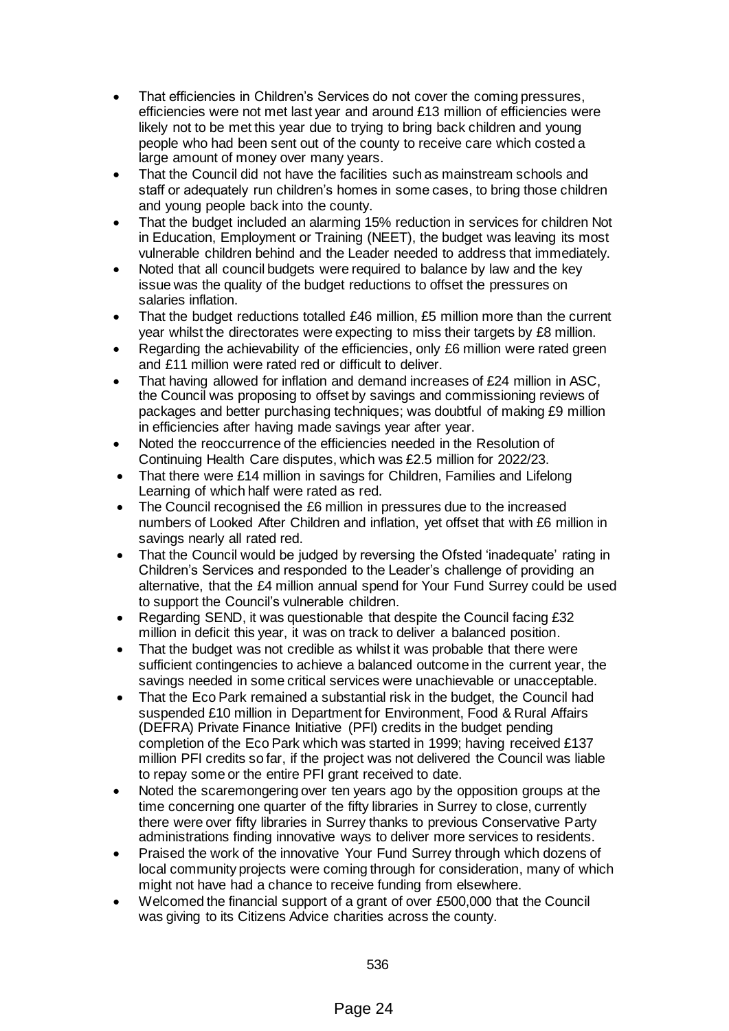- That efficiencies in Children's Services do not cover the coming pressures, efficiencies were not met last year and around £13 million of efficiencies were likely not to be met this year due to trying to bring back children and young people who had been sent out of the county to receive care which costed a large amount of money over many years.
- That the Council did not have the facilities such as mainstream schools and staff or adequately run children's homes in some cases, to bring those children and young people back into the county.
- That the budget included an alarming 15% reduction in services for children Not in Education, Employment or Training (NEET), the budget was leaving its most vulnerable children behind and the Leader needed to address that immediately.
- Noted that all council budgets were required to balance by law and the key issue was the quality of the budget reductions to offset the pressures on salaries inflation.
- That the budget reductions totalled £46 million, £5 million more than the current year whilst the directorates were expecting to miss their targets by £8 million.
- Regarding the achievability of the efficiencies, only £6 million were rated green and £11 million were rated red or difficult to deliver.
- That having allowed for inflation and demand increases of £24 million in ASC, the Council was proposing to offset by savings and commissioning reviews of packages and better purchasing techniques; was doubtful of making £9 million in efficiencies after having made savings year after year.
- Noted the reoccurrence of the efficiencies needed in the Resolution of Continuing Health Care disputes, which was £2.5 million for 2022/23.
- That there were £14 million in savings for Children, Families and Lifelong Learning of which half were rated as red.
- The Council recognised the £6 million in pressures due to the increased numbers of Looked After Children and inflation, yet offset that with £6 million in savings nearly all rated red.
- That the Council would be judged by reversing the Ofsted 'inadequate' rating in Children's Services and responded to the Leader's challenge of providing an alternative, that the £4 million annual spend for Your Fund Surrey could be used to support the Council's vulnerable children.
- Regarding SEND, it was questionable that despite the Council facing £32 million in deficit this year, it was on track to deliver a balanced position.
- That the budget was not credible as whilst it was probable that there were sufficient contingencies to achieve a balanced outcome in the current year, the savings needed in some critical services were unachievable or unacceptable.
- That the Eco Park remained a substantial risk in the budget, the Council had suspended £10 million in Department for Environment, Food & Rural Affairs (DEFRA) Private Finance Initiative (PFI) credits in the budget pending completion of the Eco Park which was started in 1999; having received £137 million PFI credits so far, if the project was not delivered the Council was liable to repay some or the entire PFI grant received to date.
- Noted the scaremongering over ten years ago by the opposition groups at the time concerning one quarter of the fifty libraries in Surrey to close, currently there were over fifty libraries in Surrey thanks to previous Conservative Party administrations finding innovative ways to deliver more services to residents.
- Praised the work of the innovative Your Fund Surrey through which dozens of local community projects were coming through for consideration, many of which might not have had a chance to receive funding from elsewhere.
- Welcomed the financial support of a grant of over £500,000 that the Council was giving to its Citizens Advice charities across the county.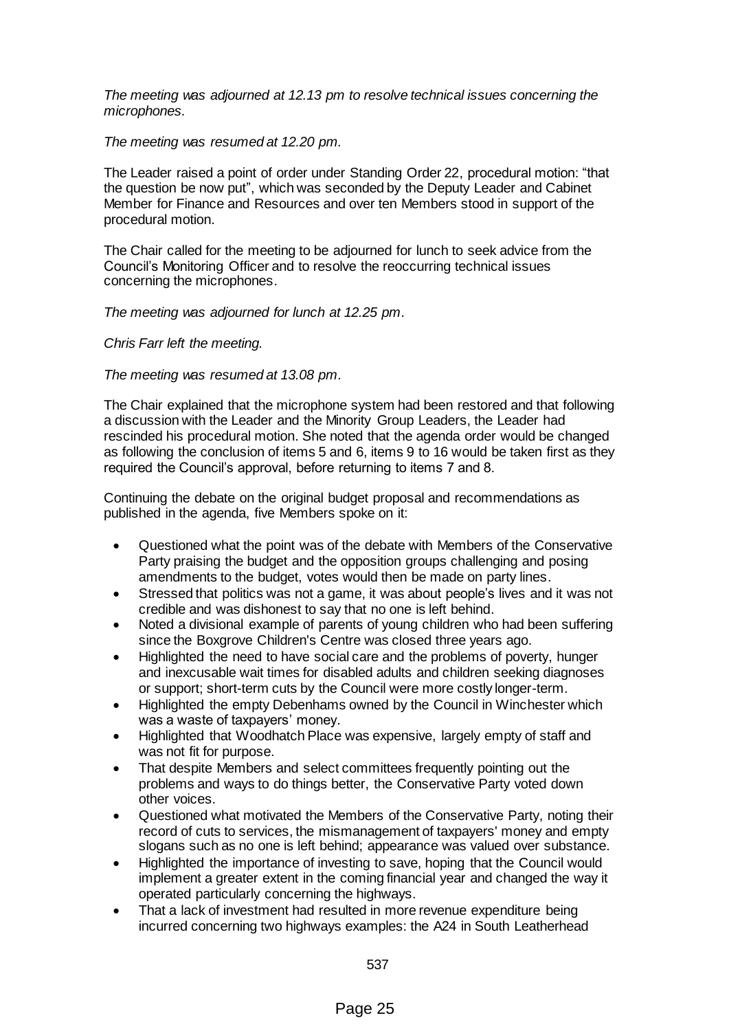*The meeting was adjourned at 12.13 pm to resolve technical issues concerning the microphones.* 

#### *The meeting was resumed at 12.20 pm.*

The Leader raised a point of order under Standing Order 22, procedural motion: "that the question be now put", which was seconded by the Deputy Leader and Cabinet Member for Finance and Resources and over ten Members stood in support of the procedural motion.

The Chair called for the meeting to be adjourned for lunch to seek advice from the Council's Monitoring Officer and to resolve the reoccurring technical issues concerning the microphones.

*The meeting was adjourned for lunch at 12.25 pm.*

*Chris Farr left the meeting.*

#### *The meeting was resumed at 13.08 pm.*

The Chair explained that the microphone system had been restored and that following a discussion with the Leader and the Minority Group Leaders, the Leader had rescinded his procedural motion. She noted that the agenda order would be changed as following the conclusion of items 5 and 6, items 9 to 16 would be taken first as they required the Council's approval, before returning to items 7 and 8.

Continuing the debate on the original budget proposal and recommendations as published in the agenda, five Members spoke on it:

- Questioned what the point was of the debate with Members of the Conservative Party praising the budget and the opposition groups challenging and posing amendments to the budget, votes would then be made on party lines.
- Stressed that politics was not a game, it was about people's lives and it was not credible and was dishonest to say that no one is left behind.
- Noted a divisional example of parents of young children who had been suffering since the Boxgrove Children's Centre was closed three years ago.
- Highlighted the need to have social care and the problems of poverty, hunger and inexcusable wait times for disabled adults and children seeking diagnoses or support; short-term cuts by the Council were more costly longer-term.
- Highlighted the empty Debenhams owned by the Council in Winchester which was a waste of taxpayers' money.
- Highlighted that Woodhatch Place was expensive, largely empty of staff and was not fit for purpose.
- That despite Members and select committees frequently pointing out the problems and ways to do things better, the Conservative Party voted down other voices.
- Questioned what motivated the Members of the Conservative Party, noting their record of cuts to services, the mismanagement of taxpayers' money and empty slogans such as no one is left behind; appearance was valued over substance.
- Highlighted the importance of investing to save, hoping that the Council would implement a greater extent in the coming financial year and changed the way it operated particularly concerning the highways.
- That a lack of investment had resulted in more revenue expenditure being incurred concerning two highways examples: the A24 in South Leatherhead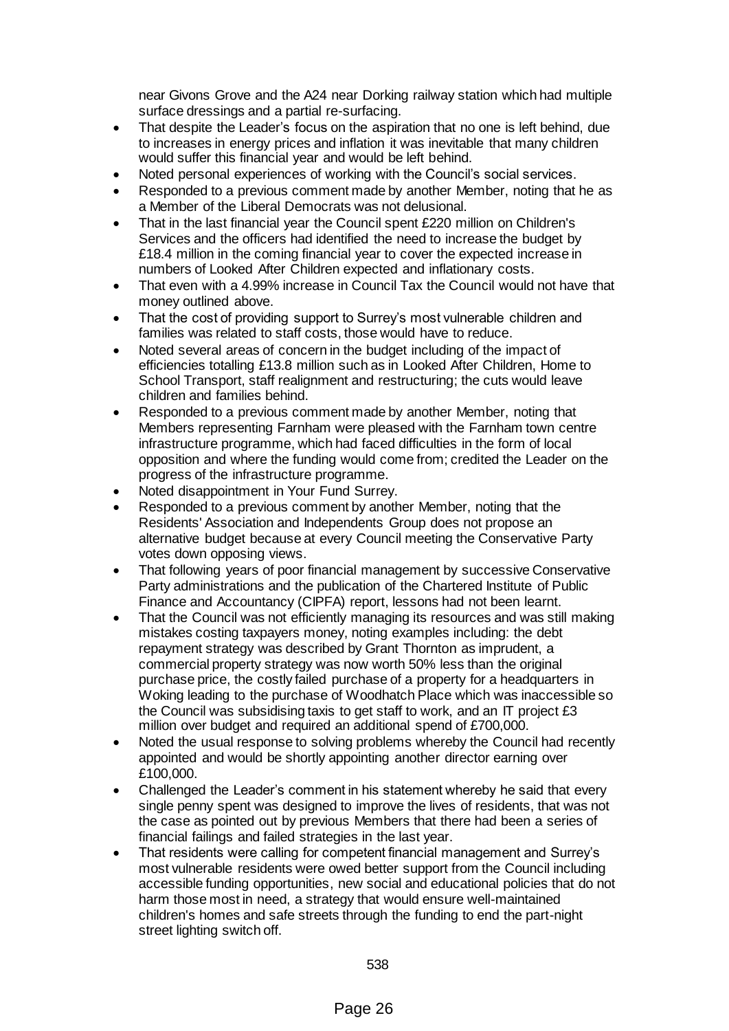near Givons Grove and the A24 near Dorking railway station which had multiple surface dressings and a partial re-surfacing.

- That despite the Leader's focus on the aspiration that no one is left behind, due to increases in energy prices and inflation it was inevitable that many children would suffer this financial year and would be left behind.
- Noted personal experiences of working with the Council's social services.
- Responded to a previous comment made by another Member, noting that he as a Member of the Liberal Democrats was not delusional.
- That in the last financial year the Council spent £220 million on Children's Services and the officers had identified the need to increase the budget by £18.4 million in the coming financial year to cover the expected increase in numbers of Looked After Children expected and inflationary costs.
- That even with a 4.99% increase in Council Tax the Council would not have that money outlined above.
- That the cost of providing support to Surrey's most vulnerable children and families was related to staff costs, those would have to reduce.
- Noted several areas of concern in the budget including of the impact of efficiencies totalling £13.8 million such as in Looked After Children, Home to School Transport, staff realignment and restructuring; the cuts would leave children and families behind.
- Responded to a previous comment made by another Member, noting that Members representing Farnham were pleased with the Farnham town centre infrastructure programme, which had faced difficulties in the form of local opposition and where the funding would come from; credited the Leader on the progress of the infrastructure programme.
- Noted disappointment in Your Fund Surrey.
- Responded to a previous comment by another Member, noting that the Residents' Association and Independents Group does not propose an alternative budget because at every Council meeting the Conservative Party votes down opposing views.
- That following years of poor financial management by successive Conservative Party administrations and the publication of the Chartered Institute of Public Finance and Accountancy (CIPFA) report, lessons had not been learnt.
- That the Council was not efficiently managing its resources and was still making mistakes costing taxpayers money, noting examples including: the debt repayment strategy was described by Grant Thornton as imprudent, a commercial property strategy was now worth 50% less than the original purchase price, the costly failed purchase of a property for a headquarters in Woking leading to the purchase of Woodhatch Place which was inaccessible so the Council was subsidising taxis to get staff to work, and an IT project £3 million over budget and required an additional spend of £700,000.
- Noted the usual response to solving problems whereby the Council had recently appointed and would be shortly appointing another director earning over £100,000.
- Challenged the Leader's comment in his statement whereby he said that every single penny spent was designed to improve the lives of residents, that was not the case as pointed out by previous Members that there had been a series of financial failings and failed strategies in the last year.
- That residents were calling for competent financial management and Surrey's most vulnerable residents were owed better support from the Council including accessible funding opportunities, new social and educational policies that do not harm those most in need, a strategy that would ensure well-maintained children's homes and safe streets through the funding to end the part-night street lighting switch off.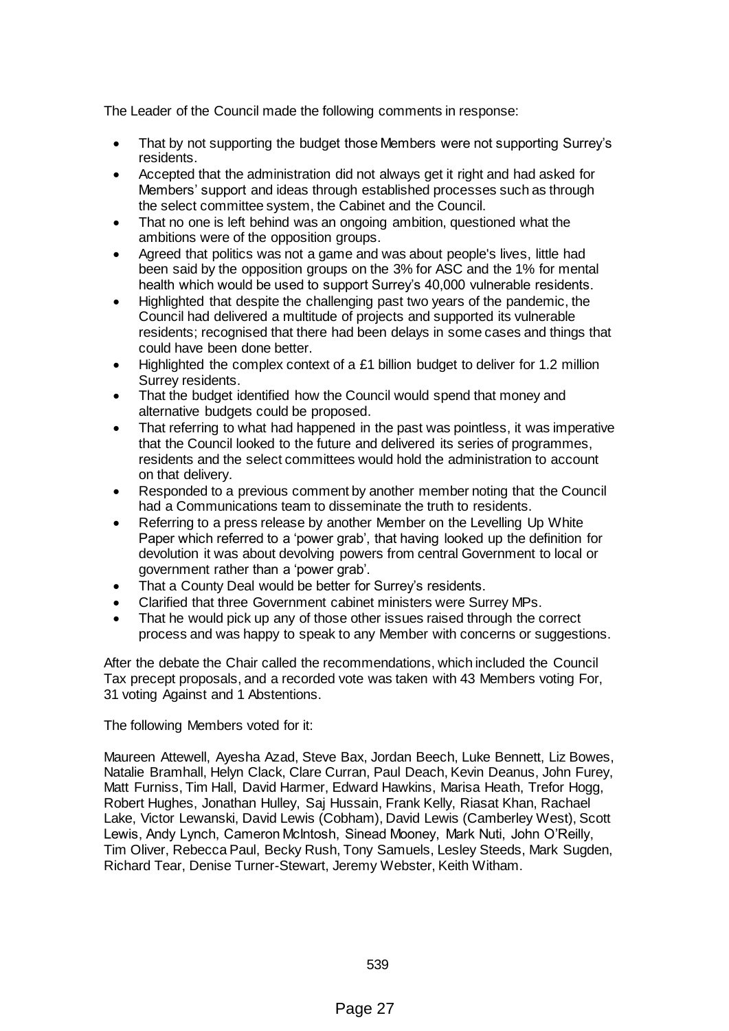The Leader of the Council made the following comments in response:

- That by not supporting the budget those Members were not supporting Surrey's residents.
- Accepted that the administration did not always get it right and had asked for Members' support and ideas through established processes such as through the select committee system, the Cabinet and the Council.
- That no one is left behind was an ongoing ambition, questioned what the ambitions were of the opposition groups.
- Agreed that politics was not a game and was about people's lives, little had been said by the opposition groups on the 3% for ASC and the 1% for mental health which would be used to support Surrey's 40,000 vulnerable residents.
- Highlighted that despite the challenging past two years of the pandemic, the Council had delivered a multitude of projects and supported its vulnerable residents; recognised that there had been delays in some cases and things that could have been done better.
- Highlighted the complex context of a £1 billion budget to deliver for 1.2 million Surrey residents.
- That the budget identified how the Council would spend that money and alternative budgets could be proposed.
- That referring to what had happened in the past was pointless, it was imperative that the Council looked to the future and delivered its series of programmes, residents and the select committees would hold the administration to account on that delivery.
- Responded to a previous comment by another member noting that the Council had a Communications team to disseminate the truth to residents.
- Referring to a press release by another Member on the Levelling Up White Paper which referred to a 'power grab', that having looked up the definition for devolution it was about devolving powers from central Government to local or government rather than a 'power grab'.
- That a County Deal would be better for Surrey's residents.
- Clarified that three Government cabinet ministers were Surrey MPs.
- That he would pick up any of those other issues raised through the correct process and was happy to speak to any Member with concerns or suggestions.

After the debate the Chair called the recommendations, which included the Council Tax precept proposals, and a recorded vote was taken with 43 Members voting For, 31 voting Against and 1 Abstentions.

The following Members voted for it:

Maureen Attewell, Ayesha Azad, Steve Bax, Jordan Beech, Luke Bennett, Liz Bowes, Natalie Bramhall, Helyn Clack, Clare Curran, Paul Deach, Kevin Deanus, John Furey, Matt Furniss, Tim Hall, David Harmer, Edward Hawkins, Marisa Heath, Trefor Hogg, Robert Hughes, Jonathan Hulley, Saj Hussain, Frank Kelly, Riasat Khan, Rachael Lake, Victor Lewanski, David Lewis (Cobham), David Lewis (Camberley West), Scott Lewis, Andy Lynch, Cameron McIntosh, Sinead Mooney, Mark Nuti, John O'Reilly, Tim Oliver, Rebecca Paul, Becky Rush, Tony Samuels, Lesley Steeds, Mark Sugden, Richard Tear, Denise Turner-Stewart, Jeremy Webster, Keith Witham.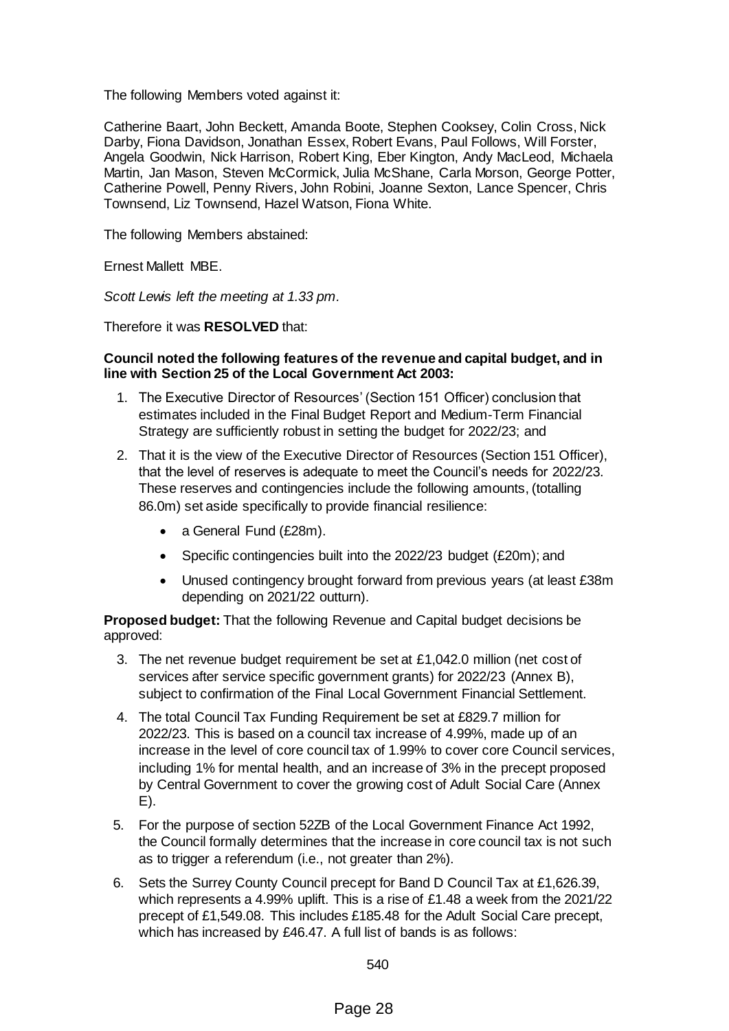The following Members voted against it:

Catherine Baart, John Beckett, Amanda Boote, Stephen Cooksey, Colin Cross, Nick Darby, Fiona Davidson, Jonathan Essex, Robert Evans, Paul Follows, Will Forster, Angela Goodwin, Nick Harrison, Robert King, Eber Kington, Andy MacLeod, Michaela Martin, Jan Mason, Steven McCormick, Julia McShane, Carla Morson, George Potter, Catherine Powell, Penny Rivers, John Robini, Joanne Sexton, Lance Spencer, Chris Townsend, Liz Townsend, Hazel Watson, Fiona White.

The following Members abstained:

Ernest Mallett MBE.

*Scott Lewis left the meeting at 1.33 pm.*

Therefore it was **RESOLVED** that:

#### **Council noted the following features of the revenue and capital budget, and in line with Section 25 of the Local Government Act 2003:**

- 1. The Executive Director of Resources' (Section 151 Officer) conclusion that estimates included in the Final Budget Report and Medium-Term Financial Strategy are sufficiently robust in setting the budget for 2022/23; and
- 2. That it is the view of the Executive Director of Resources (Section 151 Officer), that the level of reserves is adequate to meet the Council's needs for 2022/23. These reserves and contingencies include the following amounts, (totalling 86.0m) set aside specifically to provide financial resilience:
	- a General Fund (£28m).
	- Specific contingencies built into the 2022/23 budget (£20m); and
	- Unused contingency brought forward from previous years (at least £38m depending on 2021/22 outturn).

**Proposed budget:** That the following Revenue and Capital budget decisions be approved:

- 3. The net revenue budget requirement be set at £1,042.0 million (net cost of services after service specific government grants) for 2022/23 (Annex B), subject to confirmation of the Final Local Government Financial Settlement.
- 4. The total Council Tax Funding Requirement be set at £829.7 million for 2022/23. This is based on a council tax increase of 4.99%, made up of an increase in the level of core council tax of 1.99% to cover core Council services, including 1% for mental health, and an increase of 3% in the precept proposed by Central Government to cover the growing cost of Adult Social Care (Annex E).
- 5. For the purpose of section 52ZB of the Local Government Finance Act 1992, the Council formally determines that the increase in core council tax is not such as to trigger a referendum (i.e., not greater than 2%).
- 6. Sets the Surrey County Council precept for Band D Council Tax at £1,626.39, which represents a 4.99% uplift. This is a rise of £1.48 a week from the 2021/22 precept of £1,549.08. This includes £185.48 for the Adult Social Care precept, which has increased by £46.47. A full list of bands is as follows: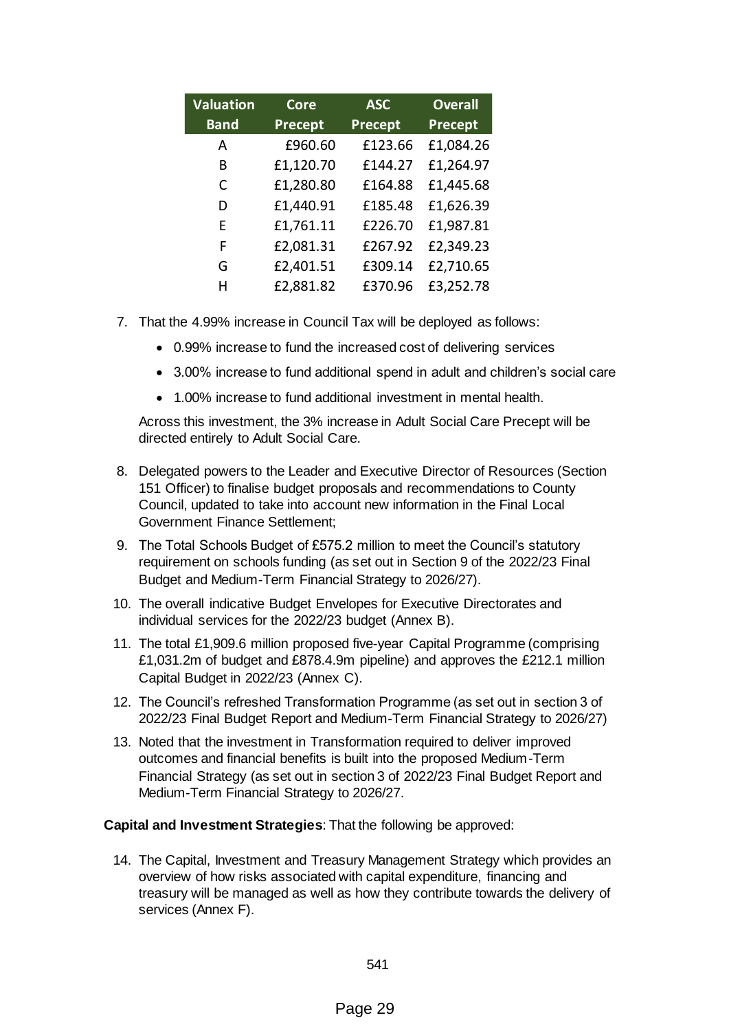| <b>Valuation</b> | <b>Core</b> | <b>ASC</b> | <b>Overall</b> |
|------------------|-------------|------------|----------------|
| <b>Band</b>      | Precept     | Precept    | Precept        |
| A                | £960.60     | £123.66    | £1,084.26      |
| R                | £1,120.70   | £144.27    | £1,264.97      |
| C                | £1,280.80   | £164.88    | £1,445.68      |
| D                | £1,440.91   | £185.48    | £1,626.39      |
| F                | £1,761.11   | £226.70    | £1,987.81      |
| F                | £2,081.31   | £267.92    | £2,349.23      |
| G                | £2,401.51   | £309.14    | £2,710.65      |
| н                | £2,881.82   | £370.96    | £3,252.78      |

- 7. That the 4.99% increase in Council Tax will be deployed as follows:
	- 0.99% increase to fund the increased cost of delivering services
	- 3.00% increase to fund additional spend in adult and children's social care
	- 1.00% increase to fund additional investment in mental health.

Across this investment, the 3% increase in Adult Social Care Precept will be directed entirely to Adult Social Care.

- 8. Delegated powers to the Leader and Executive Director of Resources (Section 151 Officer) to finalise budget proposals and recommendations to County Council, updated to take into account new information in the Final Local Government Finance Settlement;
- 9. The Total Schools Budget of £575.2 million to meet the Council's statutory requirement on schools funding (as set out in Section 9 of the 2022/23 Final Budget and Medium-Term Financial Strategy to 2026/27).
- 10. The overall indicative Budget Envelopes for Executive Directorates and individual services for the 2022/23 budget (Annex B).
- 11. The total £1,909.6 million proposed five-year Capital Programme (comprising £1,031.2m of budget and £878.4.9m pipeline) and approves the £212.1 million Capital Budget in 2022/23 (Annex C).
- 12. The Council's refreshed Transformation Programme (as set out in section 3 of 2022/23 Final Budget Report and Medium-Term Financial Strategy to 2026/27)
- 13. Noted that the investment in Transformation required to deliver improved outcomes and financial benefits is built into the proposed Medium-Term Financial Strategy (as set out in section 3 of 2022/23 Final Budget Report and Medium-Term Financial Strategy to 2026/27.

## **Capital and Investment Strategies**: That the following be approved:

14. The Capital, Investment and Treasury Management Strategy which provides an overview of how risks associated with capital expenditure, financing and treasury will be managed as well as how they contribute towards the delivery of services (Annex F).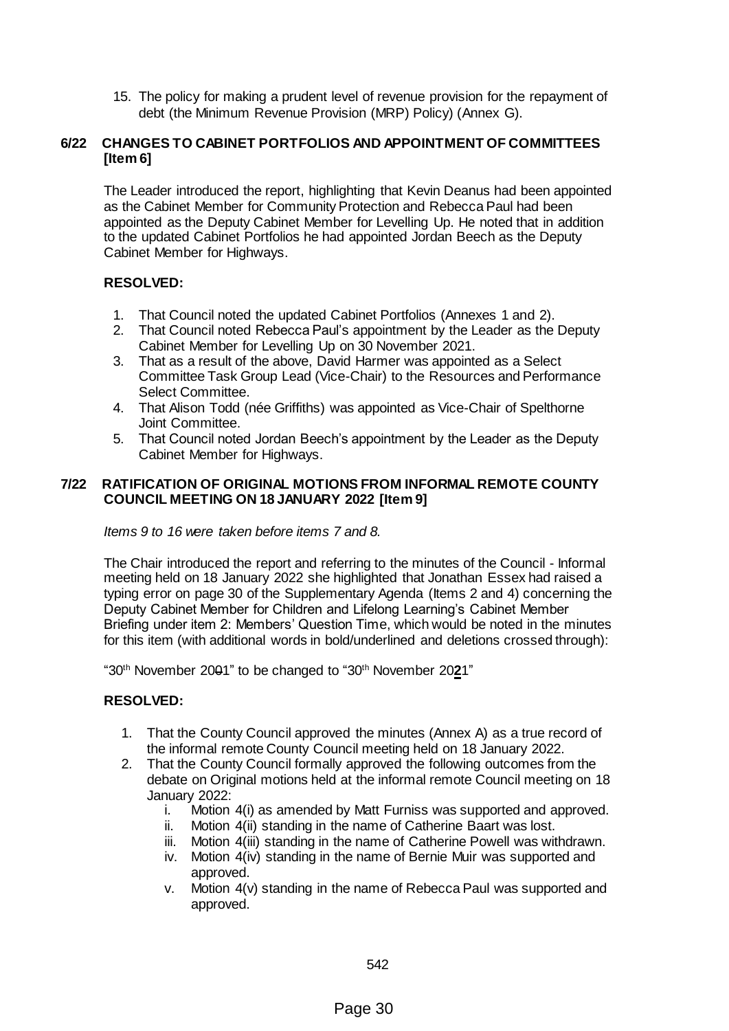15. The policy for making a prudent level of revenue provision for the repayment of debt (the Minimum Revenue Provision (MRP) Policy) (Annex G).

## **6/22 CHANGES TO CABINET PORTFOLIOS AND APPOINTMENT OF COMMITTEES [Item 6]**

The Leader introduced the report, highlighting that Kevin Deanus had been appointed as the Cabinet Member for Community Protection and Rebecca Paul had been appointed as the Deputy Cabinet Member for Levelling Up. He noted that in addition to the updated Cabinet Portfolios he had appointed Jordan Beech as the Deputy Cabinet Member for Highways.

# **RESOLVED:**

- 1. That Council noted the updated Cabinet Portfolios (Annexes 1 and 2).
- 2. That Council noted Rebecca Paul's appointment by the Leader as the Deputy Cabinet Member for Levelling Up on 30 November 2021.
- 3. That as a result of the above, David Harmer was appointed as a Select Committee Task Group Lead (Vice-Chair) to the Resources and Performance Select Committee.
- 4. That Alison Todd (née Griffiths) was appointed as Vice-Chair of Spelthorne Joint Committee.
- 5. That Council noted Jordan Beech's appointment by the Leader as the Deputy Cabinet Member for Highways.

## **7/22 RATIFICATION OF ORIGINAL MOTIONS FROM INFORMAL REMOTE COUNTY COUNCIL MEETING ON 18 JANUARY 2022 [Item 9]**

## *Items 9 to 16 were taken before items 7 and 8.*

The Chair introduced the report and referring to the minutes of the Council - Informal meeting held on 18 January 2022 she highlighted that Jonathan Essex had raised a typing error on page 30 of the Supplementary Agenda (Items 2 and 4) concerning the Deputy Cabinet Member for Children and Lifelong Learning's Cabinet Member Briefing under item 2: Members' Question Time, which would be noted in the minutes for this item (with additional words in bold/underlined and deletions crossed through):

"30th November 2001" to be changed to "30th November 20**2**1"

## **RESOLVED:**

- 1. That the County Council approved the minutes (Annex A) as a true record of the informal remote County Council meeting held on 18 January 2022.
- 2. That the County Council formally approved the following outcomes from the debate on Original motions held at the informal remote Council meeting on 18 January 2022:
	- i. Motion 4(i) as amended by Matt Furniss was supported and approved.
	- ii. Motion 4(ii) standing in the name of Catherine Baart was lost.
	- iii. Motion 4(iii) standing in the name of Catherine Powell was withdrawn.
	- iv. Motion 4(iv) standing in the name of Bernie Muir was supported and approved.
	- v. Motion 4(v) standing in the name of Rebecca Paul was supported and approved.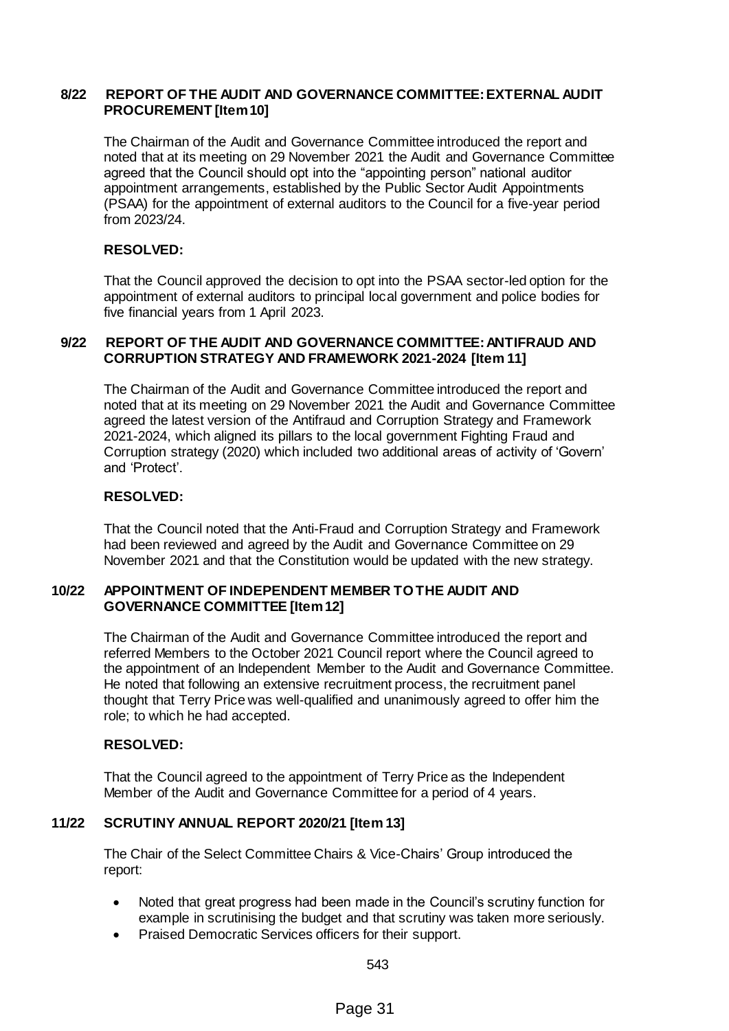## **8/22 REPORT OF THE AUDIT AND GOVERNANCE COMMITTEE: EXTERNAL AUDIT PROCUREMENT [Item 10]**

The Chairman of the Audit and Governance Committee introduced the report and noted that at its meeting on 29 November 2021 the Audit and Governance Committee agreed that the Council should opt into the "appointing person" national auditor appointment arrangements, established by the Public Sector Audit Appointments (PSAA) for the appointment of external auditors to the Council for a five-year period from 2023/24.

# **RESOLVED:**

That the Council approved the decision to opt into the PSAA sector-led option for the appointment of external auditors to principal local government and police bodies for five financial years from 1 April 2023.

#### **9/22 REPORT OF THE AUDIT AND GOVERNANCE COMMITTEE: ANTIFRAUD AND CORRUPTION STRATEGY AND FRAMEWORK 2021-2024 [Item 11]**

The Chairman of the Audit and Governance Committee introduced the report and noted that at its meeting on 29 November 2021 the Audit and Governance Committee agreed the latest version of the Antifraud and Corruption Strategy and Framework 2021-2024, which aligned its pillars to the local government Fighting Fraud and Corruption strategy (2020) which included two additional areas of activity of 'Govern' and 'Protect'.

# **RESOLVED:**

That the Council noted that the Anti-Fraud and Corruption Strategy and Framework had been reviewed and agreed by the Audit and Governance Committee on 29 November 2021 and that the Constitution would be updated with the new strategy.

## **10/22 APPOINTMENT OF INDEPENDENT MEMBER TO THE AUDIT AND GOVERNANCE COMMITTEE [Item 12]**

The Chairman of the Audit and Governance Committee introduced the report and referred Members to the October 2021 Council report where the Council agreed to the appointment of an Independent Member to the Audit and Governance Committee. He noted that following an extensive recruitment process, the recruitment panel thought that Terry Price was well-qualified and unanimously agreed to offer him the role; to which he had accepted.

# **RESOLVED:**

That the Council agreed to the appointment of Terry Price as the Independent Member of the Audit and Governance Committee for a period of 4 years.

# **11/22 SCRUTINY ANNUAL REPORT 2020/21 [Item 13]**

The Chair of the Select Committee Chairs & Vice-Chairs' Group introduced the report:

- Noted that great progress had been made in the Council's scrutiny function for example in scrutinising the budget and that scrutiny was taken more seriously.
- Praised Democratic Services officers for their support.

543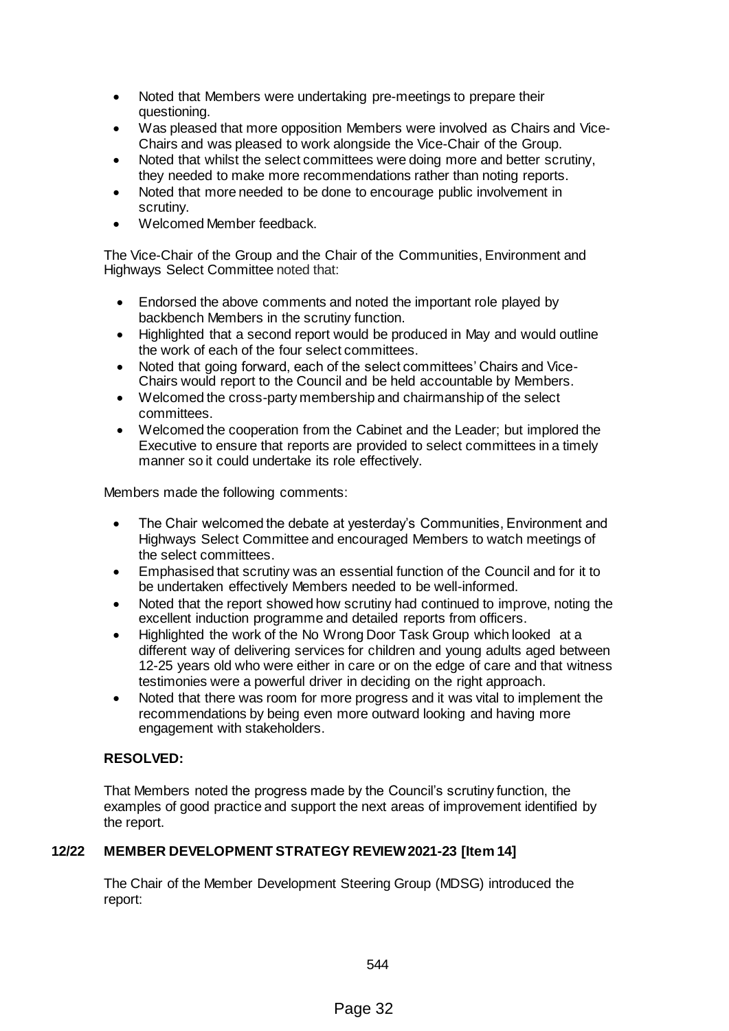- Noted that Members were undertaking pre-meetings to prepare their questioning.
- Was pleased that more opposition Members were involved as Chairs and Vice-Chairs and was pleased to work alongside the Vice-Chair of the Group.
- Noted that whilst the select committees were doing more and better scrutiny, they needed to make more recommendations rather than noting reports.
- Noted that more needed to be done to encourage public involvement in scrutiny.
- Welcomed Member feedback.

The Vice-Chair of the Group and the Chair of the Communities, Environment and Highways Select Committee noted that:

- Endorsed the above comments and noted the important role played by backbench Members in the scrutiny function.
- Highlighted that a second report would be produced in May and would outline the work of each of the four select committees.
- Noted that going forward, each of the select committees' Chairs and Vice-Chairs would report to the Council and be held accountable by Members.
- Welcomed the cross-party membership and chairmanship of the select committees.
- Welcomed the cooperation from the Cabinet and the Leader; but implored the Executive to ensure that reports are provided to select committees in a timely manner so it could undertake its role effectively.

Members made the following comments:

- The Chair welcomed the debate at yesterday's Communities, Environment and Highways Select Committee and encouraged Members to watch meetings of the select committees.
- Emphasised that scrutiny was an essential function of the Council and for it to be undertaken effectively Members needed to be well-informed.
- Noted that the report showed how scrutiny had continued to improve, noting the excellent induction programme and detailed reports from officers.
- Highlighted the work of the No Wrong Door Task Group which looked at a different way of delivering services for children and young adults aged between 12-25 years old who were either in care or on the edge of care and that witness testimonies were a powerful driver in deciding on the right approach.
- Noted that there was room for more progress and it was vital to implement the recommendations by being even more outward looking and having more engagement with stakeholders.

# **RESOLVED:**

That Members noted the progress made by the Council's scrutiny function, the examples of good practice and support the next areas of improvement identified by the report.

# **12/22 MEMBER DEVELOPMENT STRATEGY REVIEW 2021-23 [Item 14]**

The Chair of the Member Development Steering Group (MDSG) introduced the report: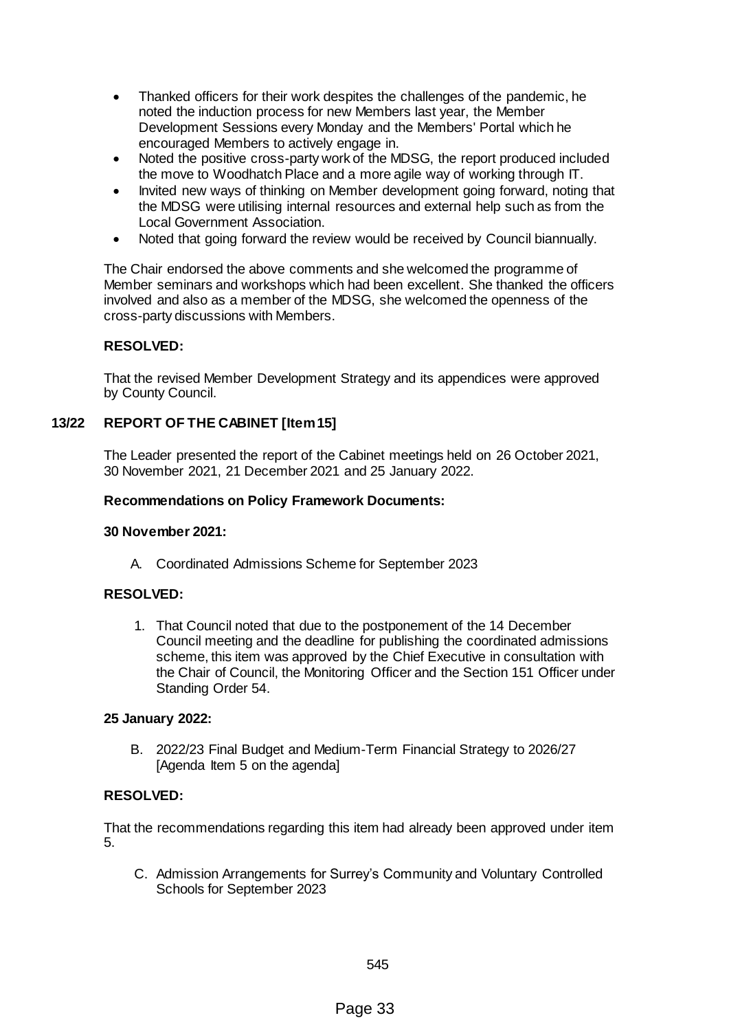- Thanked officers for their work despites the challenges of the pandemic, he noted the induction process for new Members last year, the Member Development Sessions every Monday and the Members' Portal which he encouraged Members to actively engage in.
- Noted the positive cross-party work of the MDSG, the report produced included the move to Woodhatch Place and a more agile way of working through IT.
- Invited new ways of thinking on Member development going forward, noting that the MDSG were utilising internal resources and external help such as from the Local Government Association.
- Noted that going forward the review would be received by Council biannually.

The Chair endorsed the above comments and she welcomed the programme of Member seminars and workshops which had been excellent. She thanked the officers involved and also as a member of the MDSG, she welcomed the openness of the cross-party discussions with Members.

# **RESOLVED:**

That the revised Member Development Strategy and its appendices were approved by County Council.

# **13/22 REPORT OF THE CABINET [Item 15]**

The Leader presented the report of the Cabinet meetings held on 26 October 2021, 30 November 2021, 21 December 2021 and 25 January 2022.

#### **Recommendations on Policy Framework Documents:**

#### **30 November 2021:**

A. Coordinated Admissions Scheme for September 2023

## **RESOLVED:**

1. That Council noted that due to the postponement of the 14 December Council meeting and the deadline for publishing the coordinated admissions scheme, this item was approved by the Chief Executive in consultation with the Chair of Council, the Monitoring Officer and the Section 151 Officer under Standing Order 54.

#### **25 January 2022:**

B. 2022/23 Final Budget and Medium-Term Financial Strategy to 2026/27 [Agenda Item 5 on the agenda]

## **RESOLVED:**

That the recommendations regarding this item had already been approved under item 5.

C. Admission Arrangements for Surrey's Community and Voluntary Controlled Schools for September 2023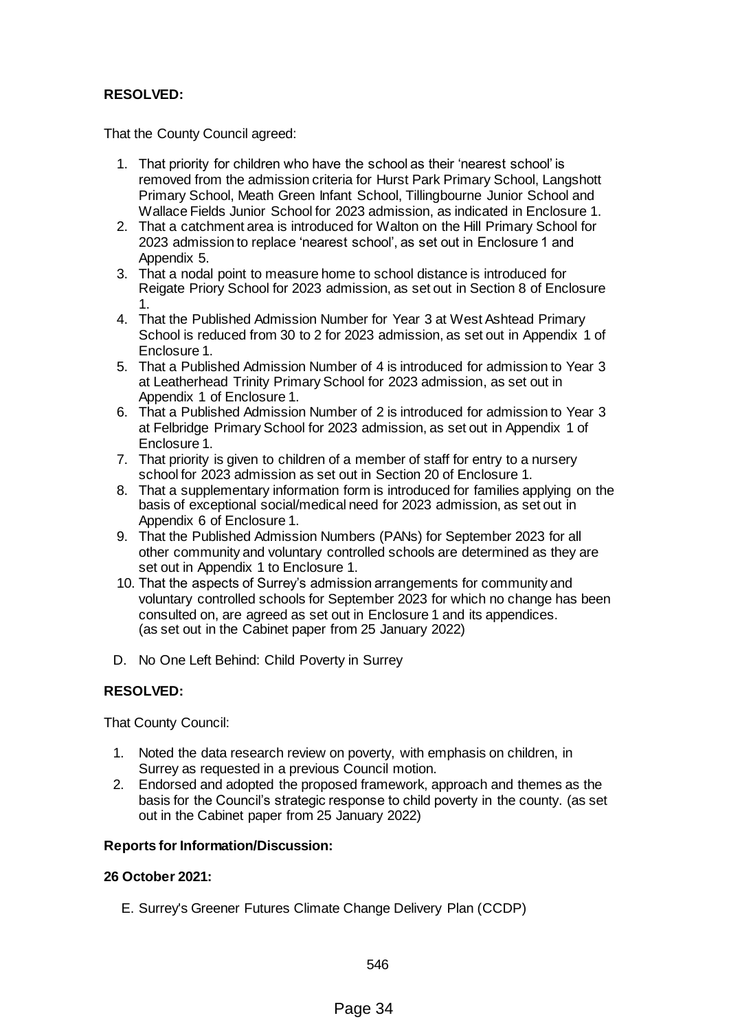# **RESOLVED:**

That the County Council agreed:

- 1. That priority for children who have the school as their 'nearest school' is removed from the admission criteria for Hurst Park Primary School, Langshott Primary School, Meath Green Infant School, Tillingbourne Junior School and Wallace Fields Junior School for 2023 admission, as indicated in Enclosure 1.
- 2. That a catchment area is introduced for Walton on the Hill Primary School for 2023 admission to replace 'nearest school', as set out in Enclosure 1 and Appendix 5.
- 3. That a nodal point to measure home to school distance is introduced for Reigate Priory School for 2023 admission, as set out in Section 8 of Enclosure 1.
- 4. That the Published Admission Number for Year 3 at West Ashtead Primary School is reduced from 30 to 2 for 2023 admission, as set out in Appendix 1 of Enclosure 1.
- 5. That a Published Admission Number of 4 is introduced for admission to Year 3 at Leatherhead Trinity Primary School for 2023 admission, as set out in Appendix 1 of Enclosure 1.
- 6. That a Published Admission Number of 2 is introduced for admission to Year 3 at Felbridge Primary School for 2023 admission, as set out in Appendix 1 of Enclosure 1.
- 7. That priority is given to children of a member of staff for entry to a nursery school for 2023 admission as set out in Section 20 of Enclosure 1.
- 8. That a supplementary information form is introduced for families applying on the basis of exceptional social/medical need for 2023 admission, as set out in Appendix 6 of Enclosure 1.
- 9. That the Published Admission Numbers (PANs) for September 2023 for all other community and voluntary controlled schools are determined as they are set out in Appendix 1 to Enclosure 1.
- 10. That the aspects of Surrey's admission arrangements for community and voluntary controlled schools for September 2023 for which no change has been consulted on, are agreed as set out in Enclosure 1 and its appendices. (as set out in the Cabinet paper from 25 January 2022)
- D. No One Left Behind: Child Poverty in Surrey

# **RESOLVED:**

That County Council:

- 1. Noted the data research review on poverty, with emphasis on children, in Surrey as requested in a previous Council motion.
- 2. Endorsed and adopted the proposed framework, approach and themes as the basis for the Council's strategic response to child poverty in the county. (as set out in the Cabinet paper from 25 January 2022)

## **Reports for Information/Discussion:**

## **26 October 2021:**

E. Surrey's Greener Futures Climate Change Delivery Plan (CCDP)

546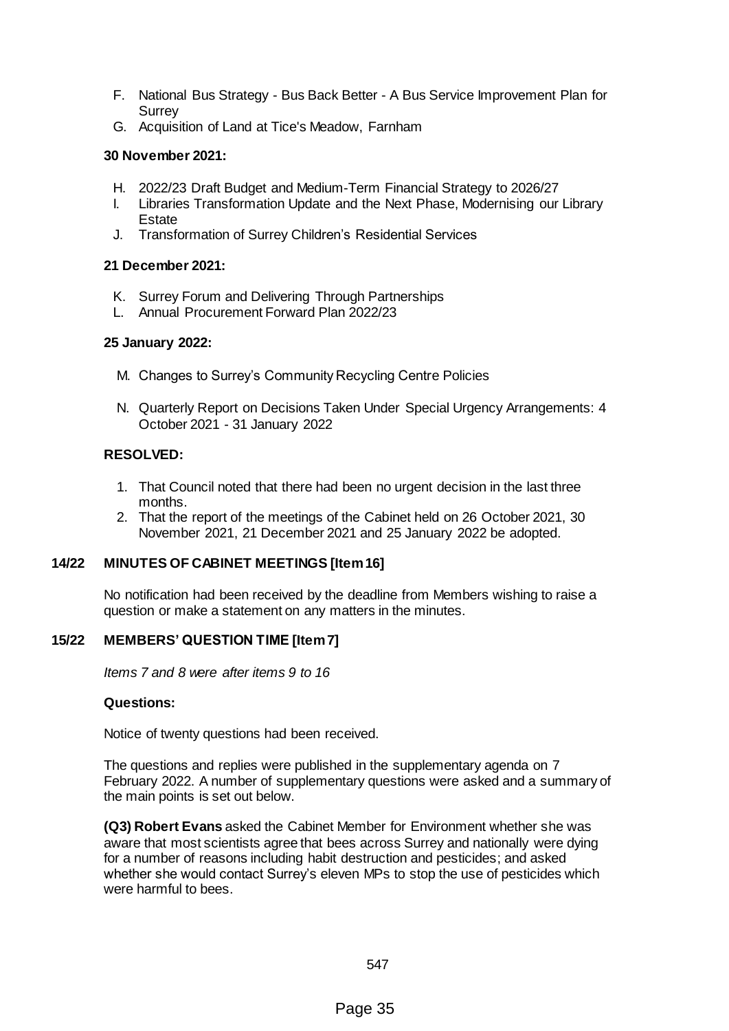- F. National Bus Strategy Bus Back Better A Bus Service Improvement Plan for Surrey
- G. Acquisition of Land at Tice's Meadow, Farnham

# **30 November 2021:**

- H. 2022/23 Draft Budget and Medium-Term Financial Strategy to 2026/27
- I. Libraries Transformation Update and the Next Phase, Modernising our Library **Estate**
- J. Transformation of Surrey Children's Residential Services

# **21 December 2021:**

- K. Surrey Forum and Delivering Through Partnerships
- L. Annual Procurement Forward Plan 2022/23

# **25 January 2022:**

- M. Changes to Surrey's Community Recycling Centre Policies
- N. Quarterly Report on Decisions Taken Under Special Urgency Arrangements: 4 October 2021 - 31 January 2022

# **RESOLVED:**

- 1. That Council noted that there had been no urgent decision in the last three months.
- 2. That the report of the meetings of the Cabinet held on 26 October 2021, 30 November 2021, 21 December 2021 and 25 January 2022 be adopted.

# **14/22 MINUTES OF CABINET MEETINGS [Item 16]**

No notification had been received by the deadline from Members wishing to raise a question or make a statement on any matters in the minutes.

# **15/22 MEMBERS' QUESTION TIME [Item 7]**

*Items 7 and 8 were after items 9 to 16*

## **Questions:**

Notice of twenty questions had been received.

The questions and replies were published in the supplementary agenda on 7 February 2022. A number of supplementary questions were asked and a summary of the main points is set out below.

**(Q3) Robert Evans** asked the Cabinet Member for Environment whether she was aware that most scientists agree that bees across Surrey and nationally were dying for a number of reasons including habit destruction and pesticides; and asked whether she would contact Surrey's eleven MPs to stop the use of pesticides which were harmful to bees.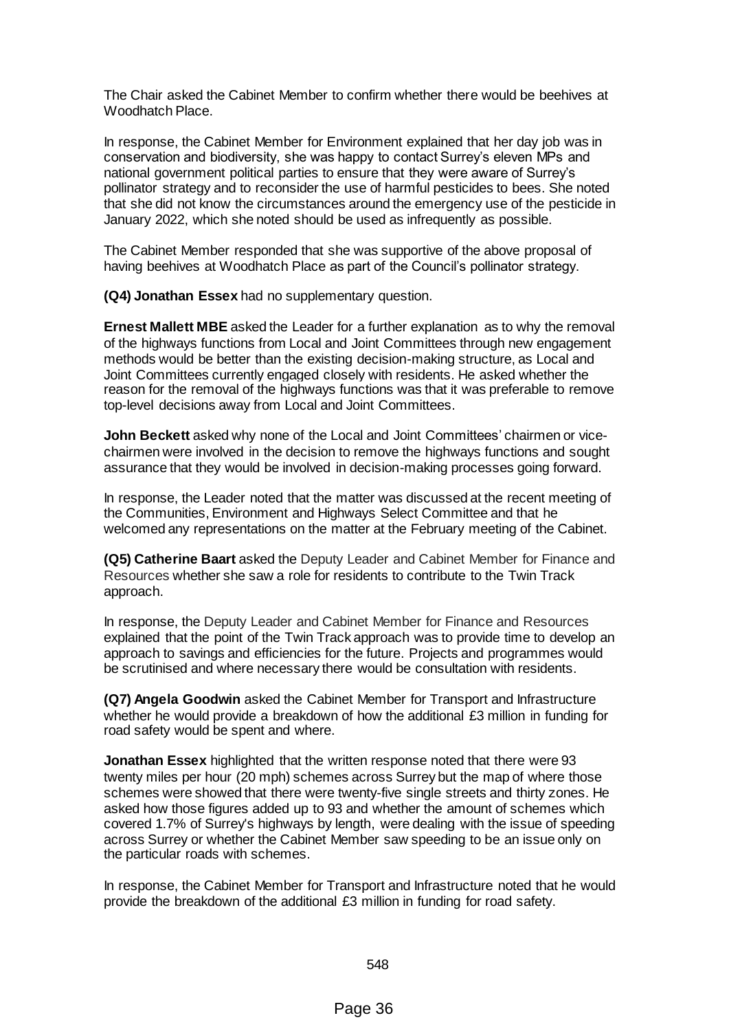The Chair asked the Cabinet Member to confirm whether there would be beehives at Woodhatch Place.

In response, the Cabinet Member for Environment explained that her day job was in conservation and biodiversity, she was happy to contact Surrey's eleven MPs and national government political parties to ensure that they were aware of Surrey's pollinator strategy and to reconsider the use of harmful pesticides to bees. She noted that she did not know the circumstances around the emergency use of the pesticide in January 2022, which she noted should be used as infrequently as possible.

The Cabinet Member responded that she was supportive of the above proposal of having beehives at Woodhatch Place as part of the Council's pollinator strategy.

**(Q4) Jonathan Essex** had no supplementary question.

**Ernest Mallett MBE** asked the Leader for a further explanation as to why the removal of the highways functions from Local and Joint Committees through new engagement methods would be better than the existing decision-making structure, as Local and Joint Committees currently engaged closely with residents. He asked whether the reason for the removal of the highways functions was that it was preferable to remove top-level decisions away from Local and Joint Committees.

**John Beckett** asked why none of the Local and Joint Committees' chairmen or vicechairmen were involved in the decision to remove the highways functions and sought assurance that they would be involved in decision-making processes going forward.

In response, the Leader noted that the matter was discussed at the recent meeting of the Communities, Environment and Highways Select Committee and that he welcomed any representations on the matter at the February meeting of the Cabinet.

**(Q5) Catherine Baart** asked the Deputy Leader and Cabinet Member for Finance and Resources whether she saw a role for residents to contribute to the Twin Track approach.

In response, the Deputy Leader and Cabinet Member for Finance and Resources explained that the point of the Twin Track approach was to provide time to develop an approach to savings and efficiencies for the future. Projects and programmes would be scrutinised and where necessary there would be consultation with residents.

**(Q7) Angela Goodwin** asked the Cabinet Member for Transport and Infrastructure whether he would provide a breakdown of how the additional £3 million in funding for road safety would be spent and where.

**Jonathan Essex** highlighted that the written response noted that there were 93 twenty miles per hour (20 mph) schemes across Surrey but the map of where those schemes were showed that there were twenty-five single streets and thirty zones. He asked how those figures added up to 93 and whether the amount of schemes which covered 1.7% of Surrey's highways by length, were dealing with the issue of speeding across Surrey or whether the Cabinet Member saw speeding to be an issue only on the particular roads with schemes.

In response, the Cabinet Member for Transport and Infrastructure noted that he would provide the breakdown of the additional £3 million in funding for road safety.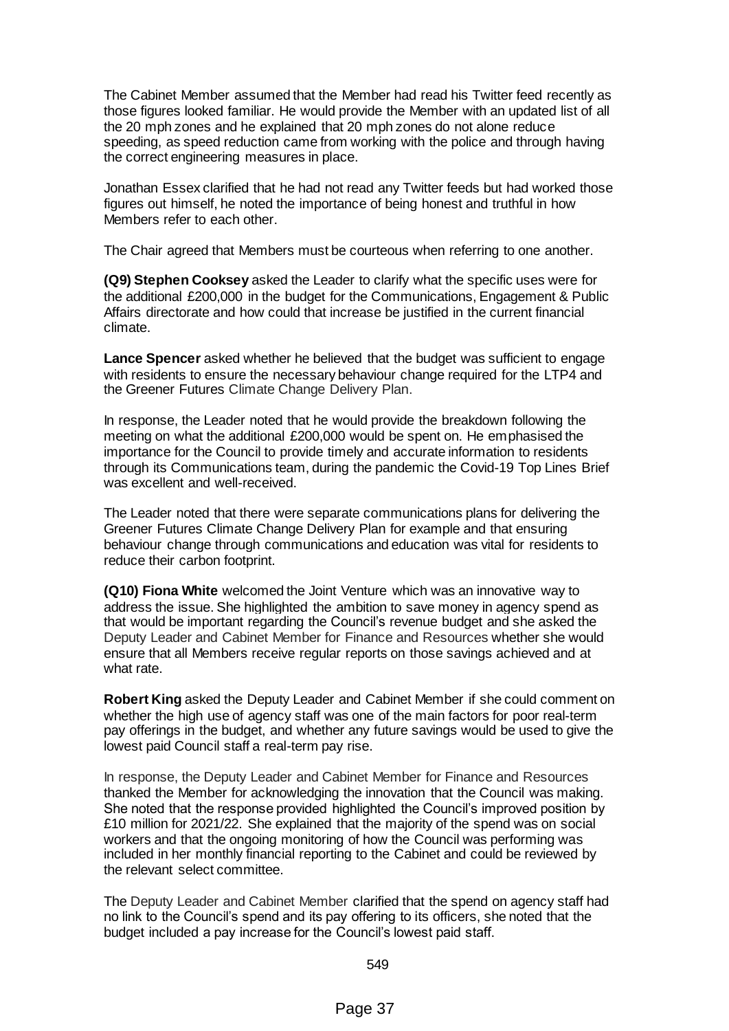The Cabinet Member assumed that the Member had read his Twitter feed recently as those figures looked familiar. He would provide the Member with an updated list of all the 20 mph zones and he explained that 20 mph zones do not alone reduce speeding, as speed reduction came from working with the police and through having the correct engineering measures in place.

Jonathan Essex clarified that he had not read any Twitter feeds but had worked those figures out himself, he noted the importance of being honest and truthful in how Members refer to each other.

The Chair agreed that Members must be courteous when referring to one another.

**(Q9) Stephen Cooksey** asked the Leader to clarify what the specific uses were for the additional £200,000 in the budget for the Communications, Engagement & Public Affairs directorate and how could that increase be justified in the current financial climate.

**Lance Spencer** asked whether he believed that the budget was sufficient to engage with residents to ensure the necessary behaviour change required for the LTP4 and the Greener Futures Climate Change Delivery Plan.

In response, the Leader noted that he would provide the breakdown following the meeting on what the additional £200,000 would be spent on. He emphasised the importance for the Council to provide timely and accurate information to residents through its Communications team, during the pandemic the Covid-19 Top Lines Brief was excellent and well-received.

The Leader noted that there were separate communications plans for delivering the Greener Futures Climate Change Delivery Plan for example and that ensuring behaviour change through communications and education was vital for residents to reduce their carbon footprint.

**(Q10) Fiona White** welcomed the Joint Venture which was an innovative way to address the issue. She highlighted the ambition to save money in agency spend as that would be important regarding the Council's revenue budget and she asked the Deputy Leader and Cabinet Member for Finance and Resources whether she would ensure that all Members receive regular reports on those savings achieved and at what rate.

**Robert King** asked the Deputy Leader and Cabinet Member if she could comment on whether the high use of agency staff was one of the main factors for poor real-term pay offerings in the budget, and whether any future savings would be used to give the lowest paid Council staff a real-term pay rise.

In response, the Deputy Leader and Cabinet Member for Finance and Resources thanked the Member for acknowledging the innovation that the Council was making. She noted that the response provided highlighted the Council's improved position by £10 million for 2021/22. She explained that the majority of the spend was on social workers and that the ongoing monitoring of how the Council was performing was included in her monthly financial reporting to the Cabinet and could be reviewed by the relevant select committee.

The Deputy Leader and Cabinet Member clarified that the spend on agency staff had no link to the Council's spend and its pay offering to its officers, she noted that the budget included a pay increase for the Council's lowest paid staff.

549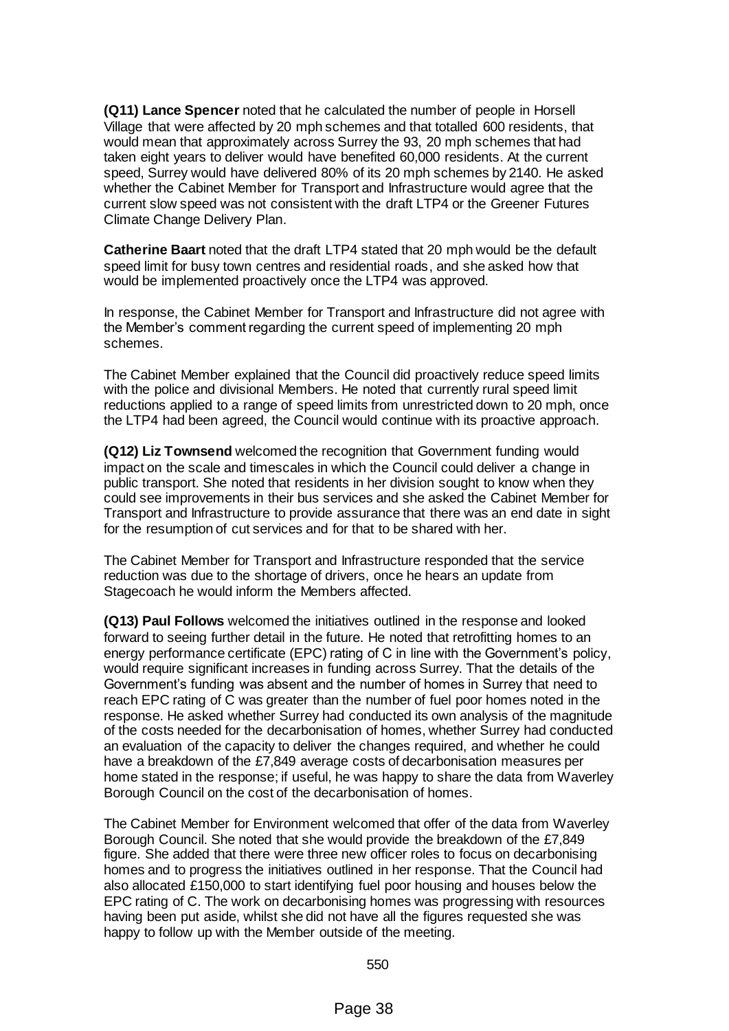**(Q11) Lance Spencer** noted that he calculated the number of people in Horsell Village that were affected by 20 mph schemes and that totalled 600 residents, that would mean that approximately across Surrey the 93, 20 mph schemes that had taken eight years to deliver would have benefited 60,000 residents. At the current speed, Surrey would have delivered 80% of its 20 mph schemes by 2140. He asked whether the Cabinet Member for Transport and Infrastructure would agree that the current slow speed was not consistent with the draft LTP4 or the Greener Futures Climate Change Delivery Plan.

**Catherine Baart** noted that the draft LTP4 stated that 20 mph would be the default speed limit for busy town centres and residential roads, and she asked how that would be implemented proactively once the LTP4 was approved.

In response, the Cabinet Member for Transport and Infrastructure did not agree with the Member's comment regarding the current speed of implementing 20 mph schemes.

The Cabinet Member explained that the Council did proactively reduce speed limits with the police and divisional Members. He noted that currently rural speed limit reductions applied to a range of speed limits from unrestricted down to 20 mph, once the LTP4 had been agreed, the Council would continue with its proactive approach.

**(Q12) Liz Townsend** welcomed the recognition that Government funding would impact on the scale and timescales in which the Council could deliver a change in public transport. She noted that residents in her division sought to know when they could see improvements in their bus services and she asked the Cabinet Member for Transport and Infrastructure to provide assurance that there was an end date in sight for the resumption of cut services and for that to be shared with her.

The Cabinet Member for Transport and Infrastructure responded that the service reduction was due to the shortage of drivers, once he hears an update from Stagecoach he would inform the Members affected.

**(Q13) Paul Follows** welcomed the initiatives outlined in the response and looked forward to seeing further detail in the future. He noted that retrofitting homes to an energy performance certificate (EPC) rating of C in line with the Government's policy, would require significant increases in funding across Surrey. That the details of the Government's funding was absent and the number of homes in Surrey that need to reach EPC rating of C was greater than the number of fuel poor homes noted in the response. He asked whether Surrey had conducted its own analysis of the magnitude of the costs needed for the decarbonisation of homes, whether Surrey had conducted an evaluation of the capacity to deliver the changes required, and whether he could have a breakdown of the £7,849 average costs of decarbonisation measures per home stated in the response; if useful, he was happy to share the data from Waverley Borough Council on the cost of the decarbonisation of homes.

The Cabinet Member for Environment welcomed that offer of the data from Waverley Borough Council. She noted that she would provide the breakdown of the £7,849 figure. She added that there were three new officer roles to focus on decarbonising homes and to progress the initiatives outlined in her response. That the Council had also allocated £150,000 to start identifying fuel poor housing and houses below the EPC rating of C. The work on decarbonising homes was progressing with resources having been put aside, whilst she did not have all the figures requested she was happy to follow up with the Member outside of the meeting.

550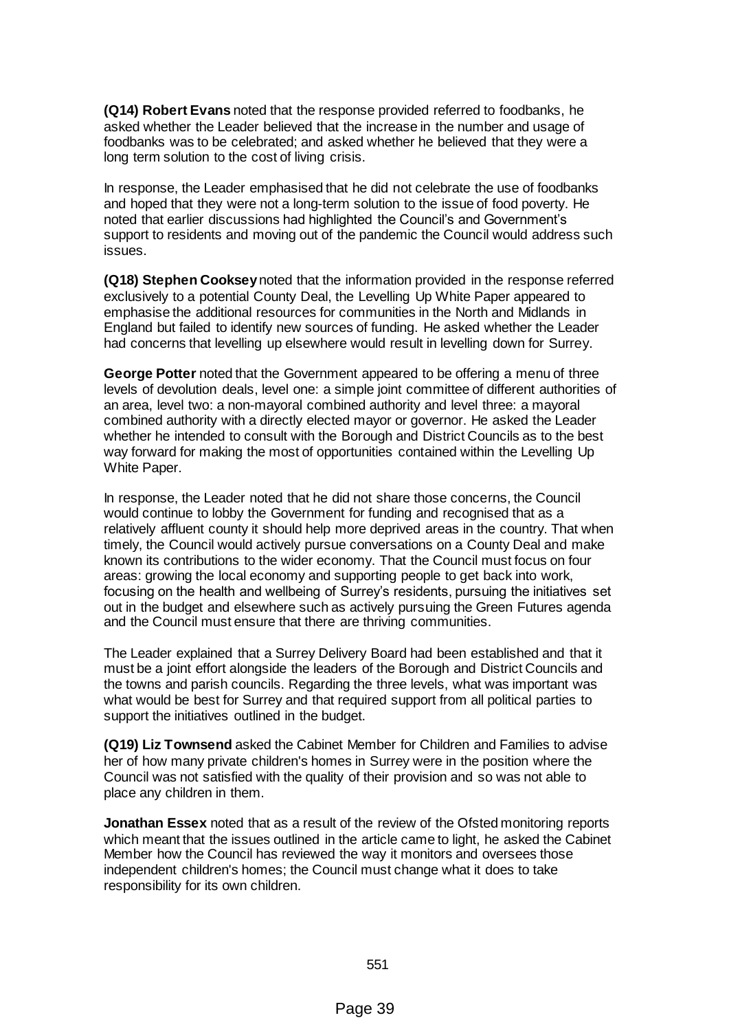**(Q14) Robert Evans** noted that the response provided referred to foodbanks, he asked whether the Leader believed that the increase in the number and usage of foodbanks was to be celebrated; and asked whether he believed that they were a long term solution to the cost of living crisis.

In response, the Leader emphasised that he did not celebrate the use of foodbanks and hoped that they were not a long-term solution to the issue of food poverty. He noted that earlier discussions had highlighted the Council's and Government's support to residents and moving out of the pandemic the Council would address such issues.

**(Q18) Stephen Cooksey**noted that the information provided in the response referred exclusively to a potential County Deal, the Levelling Up White Paper appeared to emphasise the additional resources for communities in the North and Midlands in England but failed to identify new sources of funding. He asked whether the Leader had concerns that levelling up elsewhere would result in levelling down for Surrey.

**George Potter** noted that the Government appeared to be offering a menu of three levels of devolution deals, level one: a simple joint committee of different authorities of an area, level two: a non-mayoral combined authority and level three: a mayoral combined authority with a directly elected mayor or governor. He asked the Leader whether he intended to consult with the Borough and District Councils as to the best way forward for making the most of opportunities contained within the Levelling Up White Paper.

In response, the Leader noted that he did not share those concerns, the Council would continue to lobby the Government for funding and recognised that as a relatively affluent county it should help more deprived areas in the country. That when timely, the Council would actively pursue conversations on a County Deal and make known its contributions to the wider economy. That the Council must focus on four areas: growing the local economy and supporting people to get back into work, focusing on the health and wellbeing of Surrey's residents, pursuing the initiatives set out in the budget and elsewhere such as actively pursuing the Green Futures agenda and the Council must ensure that there are thriving communities.

The Leader explained that a Surrey Delivery Board had been established and that it must be a joint effort alongside the leaders of the Borough and District Councils and the towns and parish councils. Regarding the three levels, what was important was what would be best for Surrey and that required support from all political parties to support the initiatives outlined in the budget.

**(Q19) Liz Townsend** asked the Cabinet Member for Children and Families to advise her of how many private children's homes in Surrey were in the position where the Council was not satisfied with the quality of their provision and so was not able to place any children in them.

**Jonathan Essex** noted that as a result of the review of the Ofsted monitoring reports which meant that the issues outlined in the article came to light, he asked the Cabinet Member how the Council has reviewed the way it monitors and oversees those independent children's homes; the Council must change what it does to take responsibility for its own children.